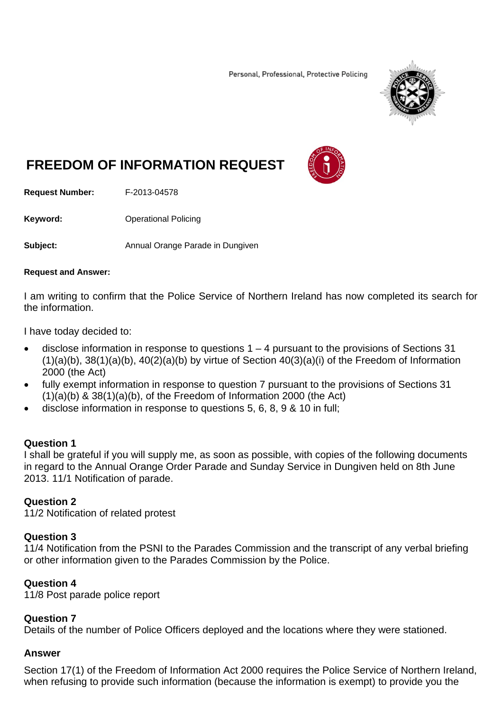Personal, Professional, Protective Policing



# **FREEDOM OF INFORMATION REQUEST**



**Request Number:** F-2013-04578

**Keyword: C**Derational Policing

**Subject:** Annual Orange Parade in Dungiven

### **Request and Answer:**

I am writing to confirm that the Police Service of Northern Ireland has now completed its search for the information.

I have today decided to:

- disclose information in response to questions  $1 4$  pursuant to the provisions of Sections 31  $(1)(a)(b)$ ,  $38(1)(a)(b)$ ,  $40(2)(a)(b)$  by virtue of Section  $40(3)(a)(i)$  of the Freedom of Information 2000 (the Act)
- fully exempt information in response to question 7 pursuant to the provisions of Sections 31  $(1)(a)(b)$  & 38 $(1)(a)(b)$ , of the Freedom of Information 2000 (the Act)
- disclose information in response to questions 5, 6, 8, 9 & 10 in full;

### **Question 1**

I shall be grateful if you will supply me, as soon as possible, with copies of the following documents in regard to the Annual Orange Order Parade and Sunday Service in Dungiven held on 8th June 2013. 11/1 Notification of parade.

### **Question 2**

11/2 Notification of related protest

### **Question 3**

11/4 Notification from the PSNI to the Parades Commission and the transcript of any verbal briefing or other information given to the Parades Commission by the Police.

### **Question 4**

11/8 Post parade police report

### **Question 7**

Details of the number of Police Officers deployed and the locations where they were stationed.

### **Answer**

Section 17(1) of the Freedom of Information Act 2000 requires the Police Service of Northern Ireland, when refusing to provide such information (because the information is exempt) to provide you the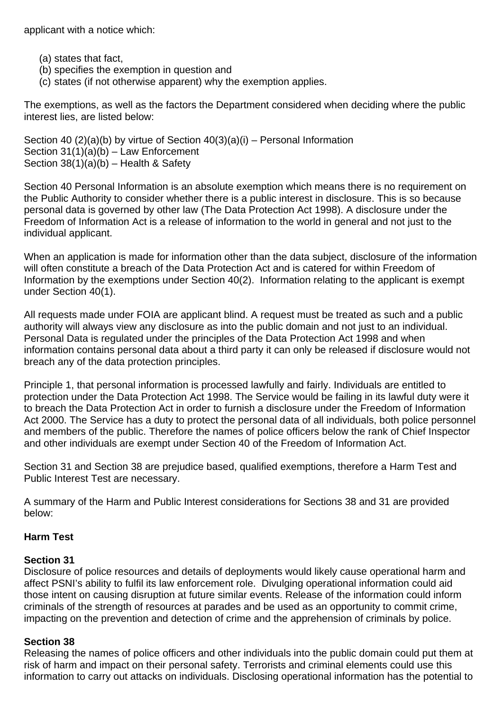applicant with a notice which:

- (a) states that fact,
- (b) specifies the exemption in question and
- (c) states (if not otherwise apparent) why the exemption applies.

The exemptions, as well as the factors the Department considered when deciding where the public interest lies, are listed below:

Section 40  $(2)(a)(b)$  by virtue of Section  $40(3)(a)(i)$  – Personal Information Section 31(1)(a)(b) – Law Enforcement Section  $38(1)(a)(b)$  – Health & Safety

Section 40 Personal Information is an absolute exemption which means there is no requirement on the Public Authority to consider whether there is a public interest in disclosure. This is so because personal data is governed by other law (The Data Protection Act 1998). A disclosure under the Freedom of Information Act is a release of information to the world in general and not just to the individual applicant.

When an application is made for information other than the data subject, disclosure of the information will often constitute a breach of the Data Protection Act and is catered for within Freedom of Information by the exemptions under Section 40(2). Information relating to the applicant is exempt under Section 40(1).

All requests made under FOIA are applicant blind. A request must be treated as such and a public authority will always view any disclosure as into the public domain and not just to an individual. Personal Data is regulated under the principles of the Data Protection Act 1998 and when information contains personal data about a third party it can only be released if disclosure would not breach any of the data protection principles.

Principle 1, that personal information is processed lawfully and fairly. Individuals are entitled to protection under the Data Protection Act 1998. The Service would be failing in its lawful duty were it to breach the Data Protection Act in order to furnish a disclosure under the Freedom of Information Act 2000. The Service has a duty to protect the personal data of all individuals, both police personnel and members of the public. Therefore the names of police officers below the rank of Chief Inspector and other individuals are exempt under Section 40 of the Freedom of Information Act.

Section 31 and Section 38 are prejudice based, qualified exemptions, therefore a Harm Test and Public Interest Test are necessary.

A summary of the Harm and Public Interest considerations for Sections 38 and 31 are provided below:

### **Harm Test**

### **Section 31**

Disclosure of police resources and details of deployments would likely cause operational harm and affect PSNI's ability to fulfil its law enforcement role. Divulging operational information could aid those intent on causing disruption at future similar events. Release of the information could inform criminals of the strength of resources at parades and be used as an opportunity to commit crime, impacting on the prevention and detection of crime and the apprehension of criminals by police.

### **Section 38**

Releasing the names of police officers and other individuals into the public domain could put them at risk of harm and impact on their personal safety. Terrorists and criminal elements could use this information to carry out attacks on individuals. Disclosing operational information has the potential to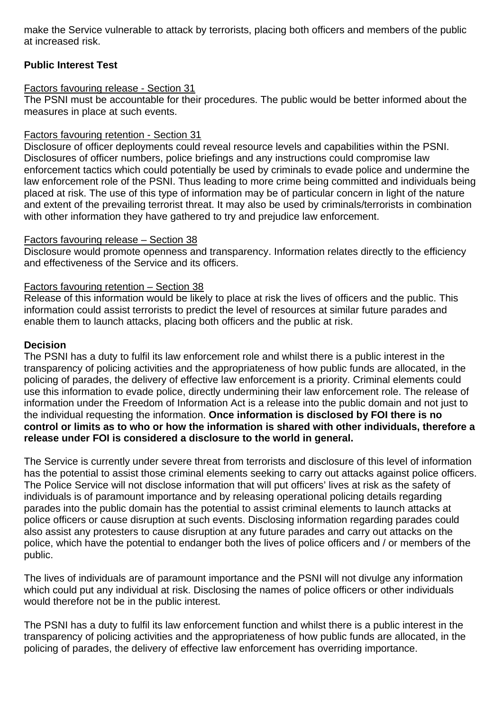make the Service vulnerable to attack by terrorists, placing both officers and members of the public at increased risk.

### **Public Interest Test**

### Factors favouring release - Section 31

The PSNI must be accountable for their procedures. The public would be better informed about the measures in place at such events.

### Factors favouring retention - Section 31

Disclosure of officer deployments could reveal resource levels and capabilities within the PSNI. Disclosures of officer numbers, police briefings and any instructions could compromise law enforcement tactics which could potentially be used by criminals to evade police and undermine the law enforcement role of the PSNI. Thus leading to more crime being committed and individuals being placed at risk. The use of this type of information may be of particular concern in light of the nature and extent of the prevailing terrorist threat. It may also be used by criminals/terrorists in combination with other information they have gathered to try and prejudice law enforcement.

### Factors favouring release – Section 38

Disclosure would promote openness and transparency. Information relates directly to the efficiency and effectiveness of the Service and its officers.

### Factors favouring retention – Section 38

Release of this information would be likely to place at risk the lives of officers and the public. This information could assist terrorists to predict the level of resources at similar future parades and enable them to launch attacks, placing both officers and the public at risk.

### **Decision**

The PSNI has a duty to fulfil its law enforcement role and whilst there is a public interest in the transparency of policing activities and the appropriateness of how public funds are allocated, in the policing of parades, the delivery of effective law enforcement is a priority. Criminal elements could use this information to evade police, directly undermining their law enforcement role. The release of information under the Freedom of Information Act is a release into the public domain and not just to the individual requesting the information. **Once information is disclosed by FOI there is no control or limits as to who or how the information is shared with other individuals, therefore a release under FOI is considered a disclosure to the world in general.**

The Service is currently under severe threat from terrorists and disclosure of this level of information has the potential to assist those criminal elements seeking to carry out attacks against police officers. The Police Service will not disclose information that will put officers' lives at risk as the safety of individuals is of paramount importance and by releasing operational policing details regarding parades into the public domain has the potential to assist criminal elements to launch attacks at police officers or cause disruption at such events. Disclosing information regarding parades could also assist any protesters to cause disruption at any future parades and carry out attacks on the police, which have the potential to endanger both the lives of police officers and / or members of the public.

The lives of individuals are of paramount importance and the PSNI will not divulge any information which could put any individual at risk. Disclosing the names of police officers or other individuals would therefore not be in the public interest.

The PSNI has a duty to fulfil its law enforcement function and whilst there is a public interest in the transparency of policing activities and the appropriateness of how public funds are allocated, in the policing of parades, the delivery of effective law enforcement has overriding importance.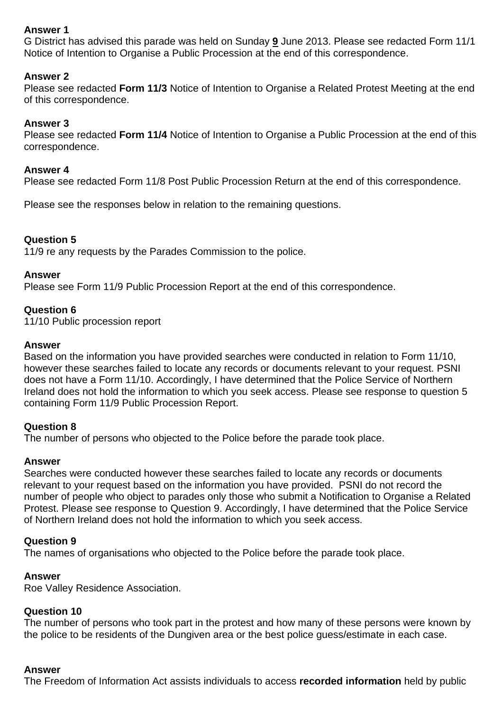### **Answer 1**

G District has advised this parade was held on Sunday **9** June 2013. Please see redacted Form 11/1 Notice of Intention to Organise a Public Procession at the end of this correspondence.

### **Answer 2**

Please see redacted **Form 11/3** Notice of Intention to Organise a Related Protest Meeting at the end of this correspondence.

### **Answer 3**

Please see redacted **Form 11/4** Notice of Intention to Organise a Public Procession at the end of this correspondence.

### **Answer 4**

Please see redacted Form 11/8 Post Public Procession Return at the end of this correspondence.

Please see the responses below in relation to the remaining questions.

### **Question 5**

11/9 re any requests by the Parades Commission to the police.

### **Answer**

Please see Form 11/9 Public Procession Report at the end of this correspondence.

### **Question 6**

11/10 Public procession report

### **Answer**

Based on the information you have provided searches were conducted in relation to Form 11/10, however these searches failed to locate any records or documents relevant to your request. PSNI does not have a Form 11/10. Accordingly, I have determined that the Police Service of Northern Ireland does not hold the information to which you seek access. Please see response to question 5 containing Form 11/9 Public Procession Report.

### **Question 8**

The number of persons who objected to the Police before the parade took place.

### **Answer**

Searches were conducted however these searches failed to locate any records or documents relevant to your request based on the information you have provided. PSNI do not record the number of people who object to parades only those who submit a Notification to Organise a Related Protest. Please see response to Question 9. Accordingly, I have determined that the Police Service of Northern Ireland does not hold the information to which you seek access.

### **Question 9**

The names of organisations who objected to the Police before the parade took place.

### **Answer**

Roe Valley Residence Association.

### **Question 10**

The number of persons who took part in the protest and how many of these persons were known by the police to be residents of the Dungiven area or the best police guess/estimate in each case.

### **Answer**

The Freedom of Information Act assists individuals to access **recorded information** held by public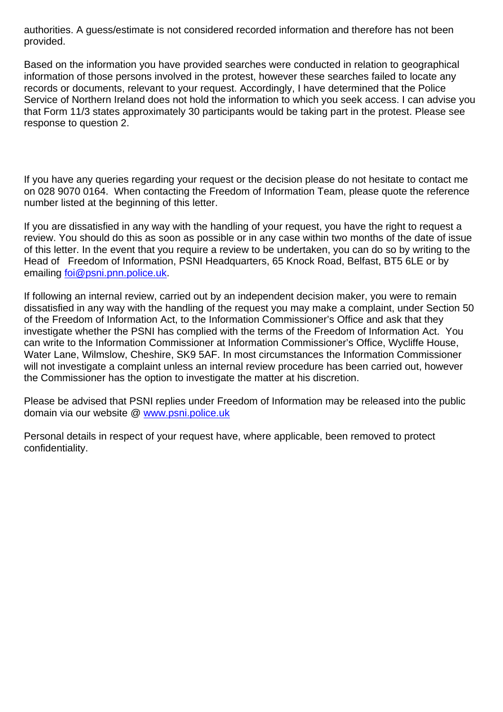authorities. A guess/estimate is not considered recorded information and therefore has not been provided.

Based on the information you have provided searches were conducted in relation to geographical information of those persons involved in the protest, however these searches failed to locate any records or documents, relevant to your request. Accordingly, I have determined that the Police Service of Northern Ireland does not hold the information to which you seek access. I can advise you that Form 11/3 states approximately 30 participants would be taking part in the protest. Please see response to question 2.

If you have any queries regarding your request or the decision please do not hesitate to contact me on 028 9070 0164. When contacting the Freedom of Information Team, please quote the reference number listed at the beginning of this letter.

If you are dissatisfied in any way with the handling of your request, you have the right to request a review. You should do this as soon as possible or in any case within two months of the date of issue of this letter. In the event that you require a review to be undertaken, you can do so by writing to the Head of Freedom of Information, PSNI Headquarters, 65 Knock Road, Belfast, BT5 6LE or by emailing foi@psni.pnn.police.uk.

If following an internal review, carried out by an independent decision maker, you were to remain dissatisfied in any way with the handling of the request you may make a complaint, under Section 50 of the Freedom of Information Act, to the Information Commissioner's Office and ask that they investigate whether the PSNI has complied with the terms of the Freedom of Information Act. You can write to the Information Commissioner at Information Commissioner's Office, Wycliffe House, Water Lane, Wilmslow, Cheshire, SK9 5AF. In most circumstances the Information Commissioner will not investigate a complaint unless an internal review procedure has been carried out, however the Commissioner has the option to investigate the matter at his discretion.

Please be advised that PSNI replies under Freedom of Information may be released into the public domain via our website @ www.psni.police.uk

Personal details in respect of your request have, where applicable, been removed to protect confidentiality.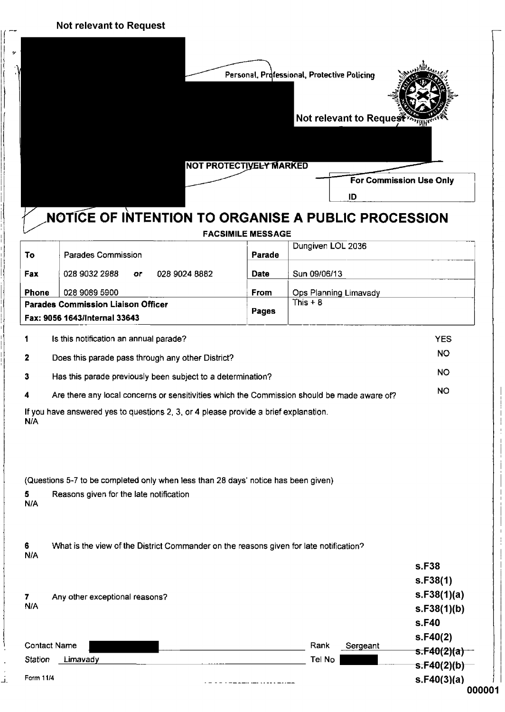$\int$ 

li

J

ان<br>بلا

y II

|                  |                                                                                             |                          | Personal, Professional, Protective Policino<br>Not relevant to Reques |                                  |
|------------------|---------------------------------------------------------------------------------------------|--------------------------|-----------------------------------------------------------------------|----------------------------------|
|                  |                                                                                             | NOT PROTECTIVELY MARKED  |                                                                       | <b>For Commission Use Only</b>   |
|                  |                                                                                             |                          | ID                                                                    |                                  |
|                  | <b>NOTICE OF INTENTION TO ORGANISE A PUBLIC PROCESSION</b>                                  |                          |                                                                       |                                  |
|                  |                                                                                             | <b>FACSIMILE MESSAGE</b> |                                                                       |                                  |
| To               | Parades Commission                                                                          | Parade                   | Dungiven LOL 2036                                                     |                                  |
| Fax              | 028 9032 2988<br>028 9024 8882<br>oг                                                        | Date                     | Sun 09/06/13                                                          |                                  |
| <b>Phone</b>     | 028 9089 5900                                                                               | <b>From</b>              | Ops Planning Limavady                                                 |                                  |
|                  | <b>Parades Commission Liaison Officer</b>                                                   | Pages                    | This $+8$                                                             |                                  |
|                  | Fax: 9056 1643/Internal 33643                                                               |                          |                                                                       |                                  |
| 1                | Is this notification an annual parade?                                                      |                          |                                                                       | <b>YES</b>                       |
| 2                | Does this parade pass through any other District?                                           |                          |                                                                       | <b>NO</b>                        |
| 3                | Has this parade previously been subject to a determination?                                 |                          |                                                                       | NO.                              |
| 4                | Are there any local concerns or sensitivities which the Commission should be made aware of? |                          |                                                                       | <b>NO</b>                        |
| N/A              | If you have answered yes to questions 2, 3, or 4 please provide a brief explanation.        |                          |                                                                       |                                  |
|                  | (Questions 5-7 to be completed only when less than 28 days' notice has been given)          |                          |                                                                       |                                  |
| 5.<br>N/A        | Reasons given for the late notification                                                     |                          |                                                                       |                                  |
| 6<br>N/A         | What is the view of the District Commander on the reasons given for late notification?      |                          |                                                                       |                                  |
|                  |                                                                                             |                          |                                                                       | s.F38<br>s.F38(1)<br>s.F38(1)(a) |
|                  | Any other exceptional reasons?                                                              |                          |                                                                       | s.F40                            |
| 7.<br><b>N/A</b> | <b>Contact Name</b>                                                                         |                          | Rank<br>Sergeant                                                      | s.F38(1)(b)<br>s.F40(2)          |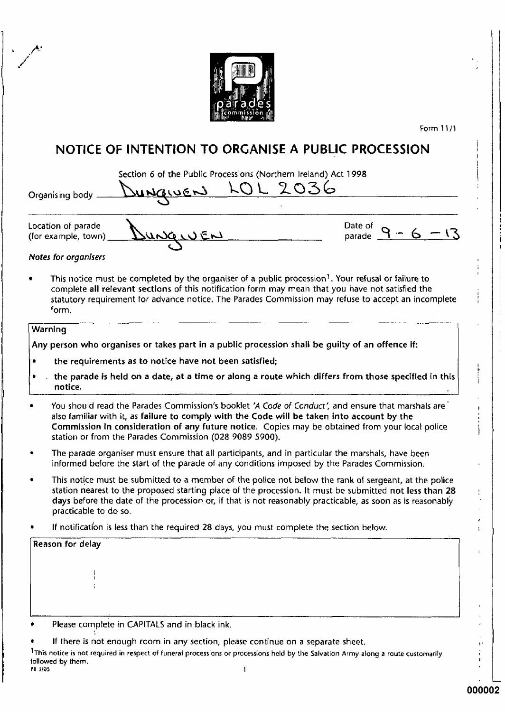

Form 11/1

## NOTICE OF INTENTION TO ORGANISE A PUBLIC PROCESSION

|                                           | Section 6 of the Public Processions (Northern Ireland) Act 1998 |  |  |                      |
|-------------------------------------------|-----------------------------------------------------------------|--|--|----------------------|
|                                           | Organising body Dungwers LOL 2036                               |  |  |                      |
| Location of parade<br>(for example, town) | DUNGIUEN                                                        |  |  | Date of $9 - 6 - 13$ |

Notes for organisers

This notice must be completed by the organiser of a public procession<sup>1</sup>. Your refusal or failure to complete all relevant sections of this notification form may mean that you have not satisfied the statutory requirement for advance notice. The Parades Commission may refuse to accept an incomplete form.

### Warning

Any person who organises or takes part in a public procession shall be quilty of an offence if:

- the requirements as to notice have not been satisfied;
- the parade is held on a date, at a time or along a route which differs from those specified in this notice.
- You should read the Parades Commission's booklet 'A Code of Conduct', and ensure that marshals are also familiar with it, as failure to comply with the Code will be taken into account by the Commission in consideration of any future notice. Copies may be obtained from your local police station or from the Parades Commission (028 9089 5900).
- The parade organiser must ensure that all participants, and in particular the marshals, have been informed before the start of the parade of any conditions imposed by the Parades Commission.
- This notice must be submitted to a member of the police not below the rank of sergeant, at the police station nearest to the proposed starting place of the procession. It must be submitted not less than 28 days before the date of the procession or, if that is not reasonably practicable, as soon as is reasonably practicable to do so.
- If notification is less than the required 28 days, you must complete the section below.

If there is not enough room in any section, please continue on a separate sheet.

<sup>1</sup>This notice is not required in respect of funeral processions or processions held by the Salvation Army along a route customarily followed by them. PB 3/05

Ł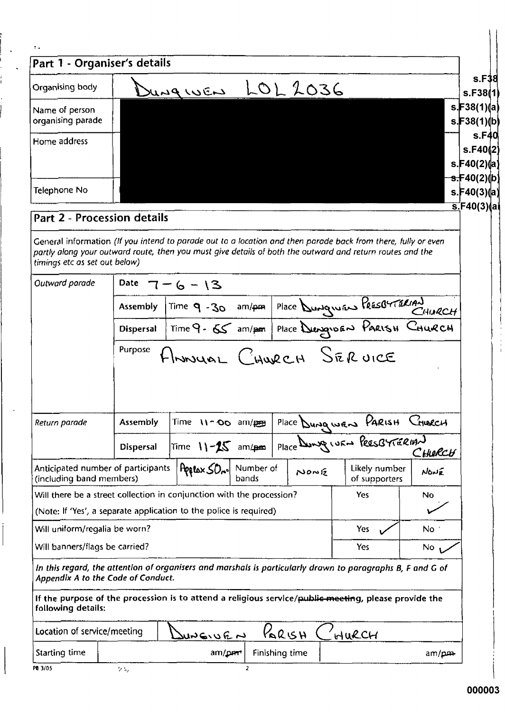| ÷.                                                                                                                                                                                                                                                                                                                                                                                                                                                                                                                                                                                                                 |                  |                                                                                           |                    |       |                                                       |                                        |
|--------------------------------------------------------------------------------------------------------------------------------------------------------------------------------------------------------------------------------------------------------------------------------------------------------------------------------------------------------------------------------------------------------------------------------------------------------------------------------------------------------------------------------------------------------------------------------------------------------------------|------------------|-------------------------------------------------------------------------------------------|--------------------|-------|-------------------------------------------------------|----------------------------------------|
| Part 1 - Organiser's details                                                                                                                                                                                                                                                                                                                                                                                                                                                                                                                                                                                       |                  |                                                                                           |                    |       |                                                       |                                        |
| Organising body                                                                                                                                                                                                                                                                                                                                                                                                                                                                                                                                                                                                    |                  | JUNGWEN LOL 2036                                                                          |                    |       |                                                       |                                        |
| Name of person<br>organising parade                                                                                                                                                                                                                                                                                                                                                                                                                                                                                                                                                                                |                  |                                                                                           |                    |       |                                                       | s.F38(1)(a)<br>s.F38(1)(b)             |
| Home address                                                                                                                                                                                                                                                                                                                                                                                                                                                                                                                                                                                                       |                  |                                                                                           |                    |       |                                                       | s. $F40(2)(a)$                         |
| Telephone No                                                                                                                                                                                                                                                                                                                                                                                                                                                                                                                                                                                                       |                  |                                                                                           |                    |       |                                                       | <del>s.F</del> 40(2)(b)<br>s.F40(3)(a) |
| Part 2 - Procession details                                                                                                                                                                                                                                                                                                                                                                                                                                                                                                                                                                                        |                  |                                                                                           |                    |       |                                                       | <u>s.</u> F40(3)(ai                    |
| General information (If you intend to parade out to a location and then parade back from there, fully or even<br>partly along your outward route, then you must give details of both the outward and return routes and the<br>timings etc as set out below)                                                                                                                                                                                                                                                                                                                                                        |                  |                                                                                           |                    |       |                                                       |                                        |
| Outward parade                                                                                                                                                                                                                                                                                                                                                                                                                                                                                                                                                                                                     | Date             | 6 - 13                                                                                    |                    |       |                                                       |                                        |
|                                                                                                                                                                                                                                                                                                                                                                                                                                                                                                                                                                                                                    | <b>Assembly</b>  | Time 9-30 am/pm Place Dungwas PrésorTERIAN<br>Time 9-65 am/pm Place Dungwas PARISH CHURCH |                    |       |                                                       |                                        |
|                                                                                                                                                                                                                                                                                                                                                                                                                                                                                                                                                                                                                    | <b>Dispersal</b> |                                                                                           |                    |       |                                                       |                                        |
|                                                                                                                                                                                                                                                                                                                                                                                                                                                                                                                                                                                                                    | Purpose          |                                                                                           |                    |       |                                                       |                                        |
|                                                                                                                                                                                                                                                                                                                                                                                                                                                                                                                                                                                                                    |                  | HMOUAL CHURCH SERVICE                                                                     |                    |       |                                                       |                                        |
|                                                                                                                                                                                                                                                                                                                                                                                                                                                                                                                                                                                                                    | <b>Assembly</b>  | Time 11-00 am/pm                                                                          |                    |       |                                                       | Church                                 |
|                                                                                                                                                                                                                                                                                                                                                                                                                                                                                                                                                                                                                    | <b>Dispersal</b> | Time $11-25$ am/pm                                                                        |                    |       | Place Dungwars PARISH<br>Place Dunge was PRESBYTERIAN | CHIERCH                                |
|                                                                                                                                                                                                                                                                                                                                                                                                                                                                                                                                                                                                                    |                  | Peerox SO <sub>n</sub> ol                                                                 | Number of<br>bands | NONE  | Likely number<br>of supporters                        | NONE                                   |
|                                                                                                                                                                                                                                                                                                                                                                                                                                                                                                                                                                                                                    |                  |                                                                                           |                    |       | Yes.                                                  | No                                     |
|                                                                                                                                                                                                                                                                                                                                                                                                                                                                                                                                                                                                                    |                  |                                                                                           |                    |       |                                                       |                                        |
|                                                                                                                                                                                                                                                                                                                                                                                                                                                                                                                                                                                                                    |                  |                                                                                           |                    |       | Yes                                                   | No :                                   |
|                                                                                                                                                                                                                                                                                                                                                                                                                                                                                                                                                                                                                    |                  |                                                                                           |                    |       | Yes.                                                  | No.                                    |
|                                                                                                                                                                                                                                                                                                                                                                                                                                                                                                                                                                                                                    |                  |                                                                                           |                    |       |                                                       |                                        |
|                                                                                                                                                                                                                                                                                                                                                                                                                                                                                                                                                                                                                    |                  |                                                                                           |                    |       |                                                       |                                        |
| Return parade<br>Anticipated number of participants<br>(including band members)<br>Will there be a street collection in conjunction with the procession?<br>(Note: If 'Yes', a separate application to the police is required)<br>Will uniform/regalia be worn?<br>Will banners/flags be carried?<br>In this regard, the attention of organisers and marshals is particularly drawn to paragraphs B, F and G of<br>Appendix A to the Code of Conduct.<br>If the purpose of the procession is to attend a religious service/public meeting, please provide the<br>following details:<br>Location of service/meeting |                  | としゅうしょ                                                                                    |                    | RacsH | HURCH                                                 |                                        |

ľ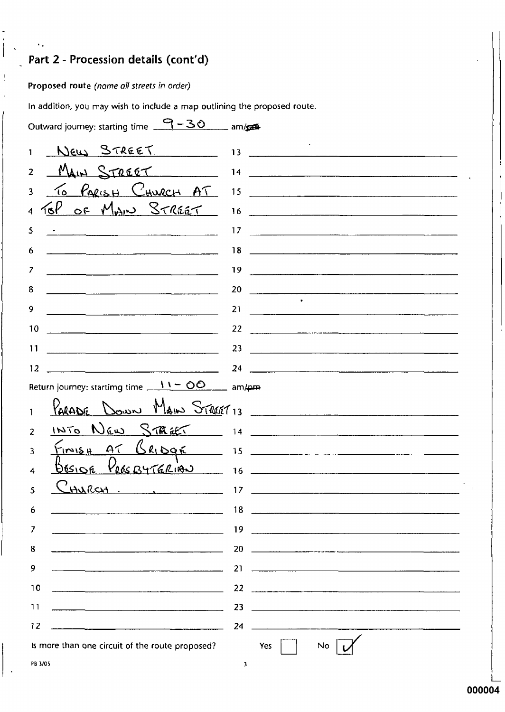## Part 2 - Procession details (cont'd)

Proposed route (name all streets in order)

 $\bar{\mathbf{v}}_i$ 

 $\frac{1}{2}$ 

In addition, you may wish to include a map outlining the proposed route.

| Outward journey: starting time $-30$ am/ges     |                                                                                                                            |
|-------------------------------------------------|----------------------------------------------------------------------------------------------------------------------------|
|                                                 | New STREET. 13 13                                                                                                          |
| $\overline{2}$                                  |                                                                                                                            |
| 3                                               | To PARISH CHURCH AT 15                                                                                                     |
|                                                 |                                                                                                                            |
| 5                                               |                                                                                                                            |
| 6                                               |                                                                                                                            |
| 7                                               |                                                                                                                            |
| 8                                               |                                                                                                                            |
| 9                                               | 21                                                                                                                         |
| 10                                              | $22 \quad \overbrace{\qquad \qquad }$                                                                                      |
| 11                                              | 23                                                                                                                         |
| 12                                              |                                                                                                                            |
| Return journey: startimg time $11 - 00$ am/pm   |                                                                                                                            |
|                                                 | PARADE DOWN MAIN STREET 13                                                                                                 |
| 2                                               |                                                                                                                            |
| ٩                                               | $F_{11115\mu}$ AT BRIDGE 15                                                                                                |
|                                                 |                                                                                                                            |
| CHURCH 17<br>5                                  |                                                                                                                            |
| 6                                               | 18                                                                                                                         |
| 7                                               | 19                                                                                                                         |
| 8                                               | 20                                                                                                                         |
| 9                                               | 21<br><u> 1980 - Johann John Harry Harry Harry Harry Harry Harry Harry Harry Harry Harry Harry Harry Harry Harry Harry</u> |
| 10                                              | 22                                                                                                                         |
| 11                                              | 23<br><u> 1980 - Andrea Stadt, amerikansk politik (</u> † 1920)                                                            |
| 12                                              | 24                                                                                                                         |
| Is more than one circuit of the route proposed? | No<br>Yes                                                                                                                  |
| PB 3/05                                         | 3.                                                                                                                         |

PB 3/05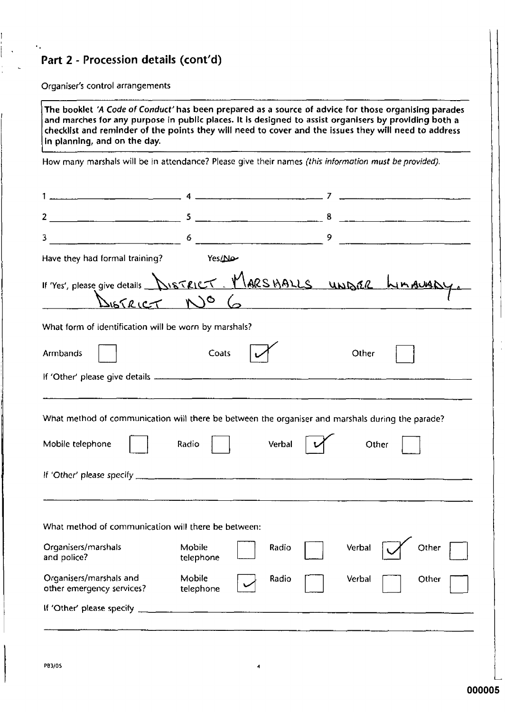## Part 2 - Procession details (cont'd)

Organiser's control arrangements

 $\epsilon$  .

The booklet 'A Code of Conduct' has been prepared as a source of advice for those organising parades and marches for any purpose in public places. It is designed to assist organisers by providing both a checklist and reminder of the points they will need to cover and the issues they will need to address In planning, and on the day.

How many marshals will be in attendance? Please give their names (this information must be provided).

| $\overline{2}$                                                                                                       |                                  |        | 8 |        |       |  |
|----------------------------------------------------------------------------------------------------------------------|----------------------------------|--------|---|--------|-------|--|
| 3                                                                                                                    |                                  |        | 9 |        |       |  |
| Have they had formal training?                                                                                       | Yes/No                           |        |   |        |       |  |
| If 'Yes', please give details <b>DISTRICT</b> MARSHALLS UNDER LIMALLANY<br>DISTRICT NO 6                             |                                  |        |   |        |       |  |
| What form of identification will be worn by marshals?                                                                |                                  |        |   |        |       |  |
| <b>Armbands</b>                                                                                                      | Coats                            |        |   | Other  |       |  |
|                                                                                                                      |                                  |        |   |        |       |  |
| What method of communication will there be between the organiser and marshals during the parade?<br>Mobile telephone | Radio                            | Verbal |   | Other  |       |  |
| What method of communication will there be between:<br>Organisers/marshals                                           | Mobile                           | Radio  |   | Verbal | Other |  |
| and police?<br>Organisers/marshals and<br>other emergency services?                                                  | telephone<br>Mobile<br>telephone | Radio  |   | Verbal | Other |  |
| If 'Other' please specify                                                                                            |                                  |        |   |        |       |  |
|                                                                                                                      |                                  |        |   |        |       |  |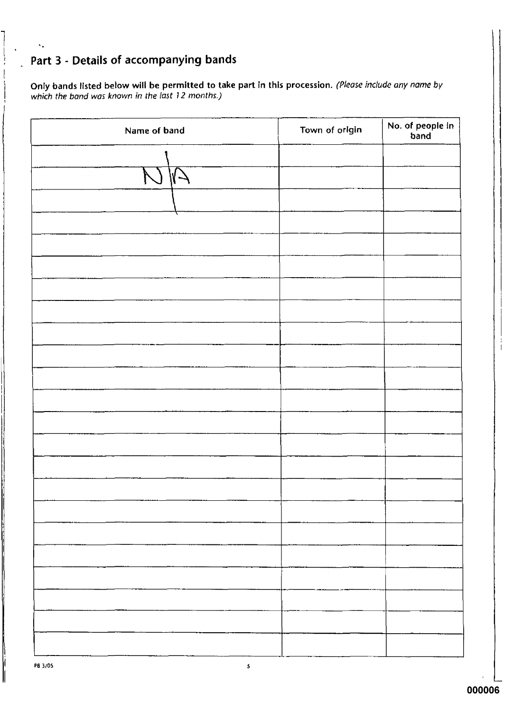## Part 3 - Details of accompanying bands

 $\ddot{\mathbf{v}}$ 

Only bands listed below will be permitted to take part in this procession. (Please include any name by which the band was known in the last 12 months.)

| Name of band | Town of origin | No. of people in<br>band |
|--------------|----------------|--------------------------|
|              |                |                          |
|              |                |                          |
|              |                |                          |
|              |                |                          |
|              |                |                          |
|              |                |                          |
|              |                |                          |
|              |                |                          |
|              |                |                          |
|              |                |                          |
|              |                |                          |
|              |                |                          |
|              |                |                          |
|              |                |                          |
|              |                |                          |
|              |                |                          |
|              |                |                          |
|              |                |                          |
|              |                |                          |
|              |                |                          |
|              |                |                          |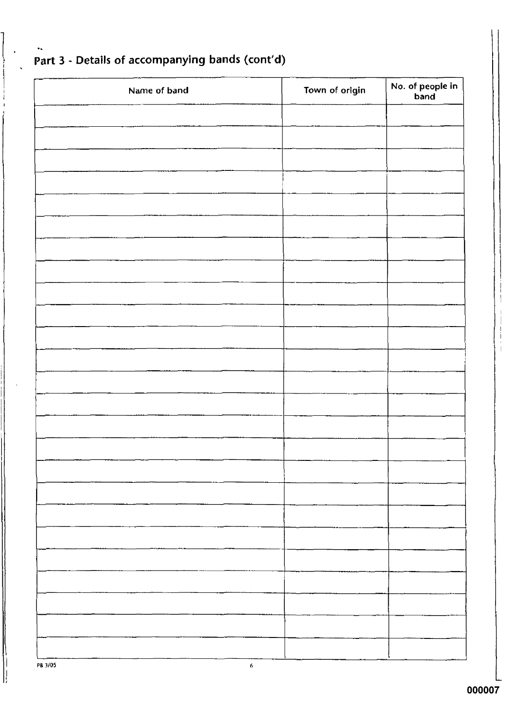| Name of band | Town of origin | No. of people in<br>band |
|--------------|----------------|--------------------------|
|              |                |                          |
|              |                |                          |
|              |                |                          |
|              |                |                          |
|              |                |                          |
|              |                |                          |
|              |                |                          |
|              |                |                          |
|              |                |                          |
|              |                |                          |
|              |                |                          |
|              |                |                          |
|              |                |                          |
|              |                |                          |
|              |                |                          |
|              |                |                          |
|              |                |                          |
|              |                |                          |
|              |                |                          |
|              |                |                          |
|              |                |                          |
|              |                |                          |
|              |                |                          |
|              |                |                          |
|              |                |                          |

# Part 3 - Details of accompanying bands (cont'd)

 $\bullet$  .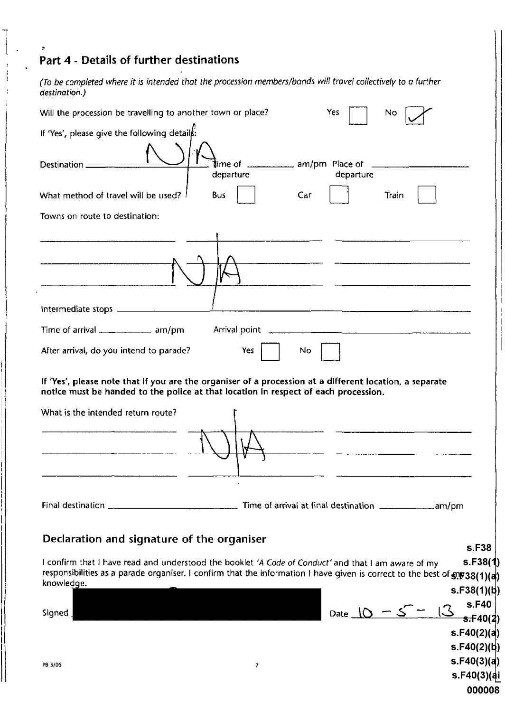## Part 4 - Details of further destinations

(To be completed where it is intended that the procession members/bands will travel collectively to a further<br>destination.)

| Will the procession be travelling to another town or place?<br>Yes<br>No                                                                                                                       |
|------------------------------------------------------------------------------------------------------------------------------------------------------------------------------------------------|
| If 'Yes', please give the following details:                                                                                                                                                   |
|                                                                                                                                                                                                |
|                                                                                                                                                                                                |
| <b>l</b> ime of <u></u> am/pm_Place of _____________________<br>Destination _<br>departure<br>departure                                                                                        |
| What method of travel will be used? !<br>Bus<br>Car<br>Train                                                                                                                                   |
| Towns on route to destination:                                                                                                                                                                 |
|                                                                                                                                                                                                |
|                                                                                                                                                                                                |
|                                                                                                                                                                                                |
|                                                                                                                                                                                                |
| Time of arrival ___________ am/pm                                                                                                                                                              |
| Yes<br>After arrival, do you intend to parade?<br>No.                                                                                                                                          |
| If 'Yes', please note that if you are the organiser of a procession at a different location, a separate<br>notice must be handed to the police at that location in respect of each procession. |
| What is the intended return route?                                                                                                                                                             |
|                                                                                                                                                                                                |
|                                                                                                                                                                                                |
|                                                                                                                                                                                                |
|                                                                                                                                                                                                |
|                                                                                                                                                                                                |
|                                                                                                                                                                                                |
|                                                                                                                                                                                                |
| Declaration and signature of the organiser<br>s.F38                                                                                                                                            |
| s.F38(1)<br>I confirm that I have read and understood the booklet 'A Code of Conduct' and that I am aware of my                                                                                |
| responsibilities as a parade organiser. I confirm that the information I have given is correct to the best of $\sin 38(1)(a)$                                                                  |
| knowledge.<br>s.F38(1)(b)                                                                                                                                                                      |
| s.F40                                                                                                                                                                                          |
| Date $10 - 5 =$<br>Signed<br>5.540(2)                                                                                                                                                          |
| s.F40(2)(a)                                                                                                                                                                                    |
| s.F40(2)(b)                                                                                                                                                                                    |
| s.F40(3)(a)<br>PB 3/05<br>7                                                                                                                                                                    |
| s.F40(3)(ai                                                                                                                                                                                    |
| 000008                                                                                                                                                                                         |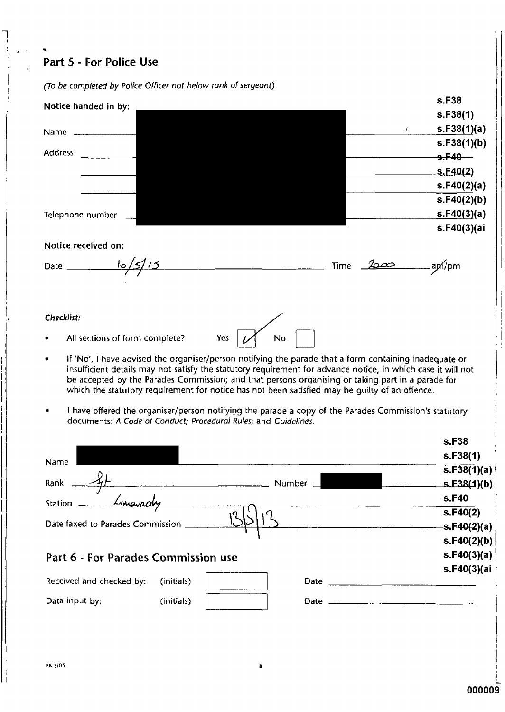## Part 5 - For Police Use

| (To be completed by Police Officer not below rank of sergeant)                                                                                                                                                                                                                                                                                                                                                                     |             |
|------------------------------------------------------------------------------------------------------------------------------------------------------------------------------------------------------------------------------------------------------------------------------------------------------------------------------------------------------------------------------------------------------------------------------------|-------------|
| Notice handed in by:                                                                                                                                                                                                                                                                                                                                                                                                               | s.F38       |
|                                                                                                                                                                                                                                                                                                                                                                                                                                    | s.F38(1)    |
| Name                                                                                                                                                                                                                                                                                                                                                                                                                               | s.F38(1)(a) |
|                                                                                                                                                                                                                                                                                                                                                                                                                                    | s.F38(1)(b) |
| <b>Address</b>                                                                                                                                                                                                                                                                                                                                                                                                                     | $s.F40 -$   |
|                                                                                                                                                                                                                                                                                                                                                                                                                                    | S.F40(2)    |
|                                                                                                                                                                                                                                                                                                                                                                                                                                    | s.F40(2)(a) |
|                                                                                                                                                                                                                                                                                                                                                                                                                                    | s.F40(2)(b) |
| Telephone number                                                                                                                                                                                                                                                                                                                                                                                                                   | s.F40(3)(a) |
|                                                                                                                                                                                                                                                                                                                                                                                                                                    | s.F40(3)(ai |
| Notice received on:                                                                                                                                                                                                                                                                                                                                                                                                                |             |
| Date                                                                                                                                                                                                                                                                                                                                                                                                                               | api/pm      |
|                                                                                                                                                                                                                                                                                                                                                                                                                                    |             |
| Checklist:                                                                                                                                                                                                                                                                                                                                                                                                                         |             |
| All sections of form complete?<br>Yes<br>No                                                                                                                                                                                                                                                                                                                                                                                        |             |
| If 'No', I have advised the organiser/person notifying the parade that a form containing inadequate or<br>٠<br>insufficient details may not satisfy the statutory requirement for advance notice, in which case it will not<br>be accepted by the Parades Commission; and that persons organising or taking part in a parade for<br>which the statutory requirement for notice has not been satisfied may be quilty of an offence. |             |

I have offered the organiser/person notifying the parade a copy of the Parades Commission's statutory documents: A Code of Conduct; Procedural Rules; and Guidelines.

|                                     |            |        |      | s.F38                    |
|-------------------------------------|------------|--------|------|--------------------------|
| Name                                |            |        |      | s.F38(1)                 |
|                                     |            |        |      | $\overline{S.F38(1)}(a)$ |
| Rank                                |            | Number |      | S.E38(1)(b)              |
| Station                             |            |        |      | s.F40                    |
|                                     |            | ١q     |      | S.F40(2)                 |
| Date faxed to Parades Commission    |            |        |      | s.F40(2)(a)              |
|                                     |            |        |      | s.F40(2)(b)              |
| Part 6 - For Parades Commission use |            |        |      | s.F40(3)(a)              |
|                                     |            |        |      | s.F40(3)(ai              |
| Received and checked by:            | (initials) |        | Date |                          |
| Data input by:                      | (initials) |        |      |                          |
|                                     |            |        |      |                          |
|                                     |            |        |      |                          |
|                                     |            |        |      |                          |

R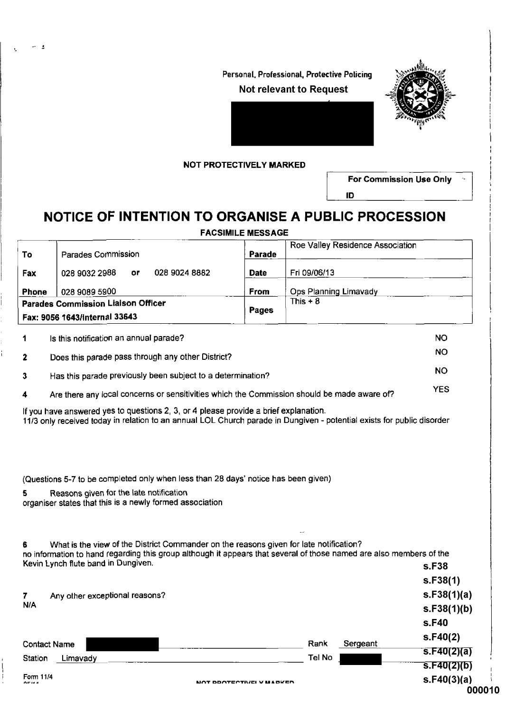Personal, Professional, Protective Policing **Not relevant to Request** 



### **NOT PROTECTIVELY MARKED**

والد

For Commission Use Only

ID

## NOTICE OF INTENTION TO ORGANISE A PUBLIC PROCESSION

**FACSIMILE MESSAGE** 

| To                                              | Parades Commission                      |    |                                                                                                                     | Parade      |                       | Roe Valley Residence Association |                                     |
|-------------------------------------------------|-----------------------------------------|----|---------------------------------------------------------------------------------------------------------------------|-------------|-----------------------|----------------------------------|-------------------------------------|
| Fax                                             | 028 9032 2988                           | oг | 028 9024 8882                                                                                                       | <b>Date</b> | Fri 09/06/13          |                                  |                                     |
| <b>Phone</b>                                    | 028 9089 5900                           |    |                                                                                                                     | <b>From</b> | Ops Planning Limavady |                                  |                                     |
|                                                 | Parades Commission Liaison Officer      |    |                                                                                                                     |             | This $+8$             |                                  |                                     |
|                                                 | Fax: 9056 1643/Internal 33643           |    |                                                                                                                     | Pages       |                       |                                  |                                     |
|                                                 | Is this notification an annual parade?  |    |                                                                                                                     |             |                       |                                  | NO                                  |
|                                                 |                                         |    | Does this parade pass through any other District?                                                                   |             |                       |                                  | NO                                  |
| 2                                               |                                         |    |                                                                                                                     |             |                       |                                  | <b>NO</b>                           |
| 3                                               |                                         |    | Has this parade previously been subject to a determination?                                                         |             |                       |                                  |                                     |
| 4                                               |                                         |    | Are there any local concerns or sensitivities which the Commission should be made aware of?                         |             |                       |                                  | <b>YES</b>                          |
| 5.                                              | Reasons given for the late notification |    | (Questions 5-7 to be completed only when less than 28 days' notice has been given)                                  |             |                       |                                  |                                     |
|                                                 |                                         |    | organiser states that this is a newly formed association                                                            |             |                       |                                  |                                     |
|                                                 |                                         |    | What is the view of the District Commander on the reasons given for late notification?                              |             |                       |                                  |                                     |
|                                                 | Kevin Lynch flute band in Dungiven.     |    | no information to hand regarding this group although it appears that several of those named are also members of the |             |                       |                                  | s.F38                               |
|                                                 |                                         |    |                                                                                                                     |             |                       |                                  | s.F38(1)                            |
|                                                 | Any other exceptional reasons?          |    |                                                                                                                     |             |                       |                                  |                                     |
|                                                 |                                         |    |                                                                                                                     |             |                       |                                  |                                     |
|                                                 |                                         |    |                                                                                                                     |             |                       |                                  | s.F38(1)(a)<br>s.F38(1)(b)<br>s.F40 |
|                                                 |                                         |    |                                                                                                                     |             |                       |                                  | s.F40(2)                            |
|                                                 |                                         |    |                                                                                                                     |             | Rank                  | Sergeant                         | s.F40(2)(a)                         |
| 6<br>7<br>N/A<br><b>Contact Name</b><br>Station | Limavady                                |    |                                                                                                                     |             | Tel No                |                                  | s.F40(2)(b)                         |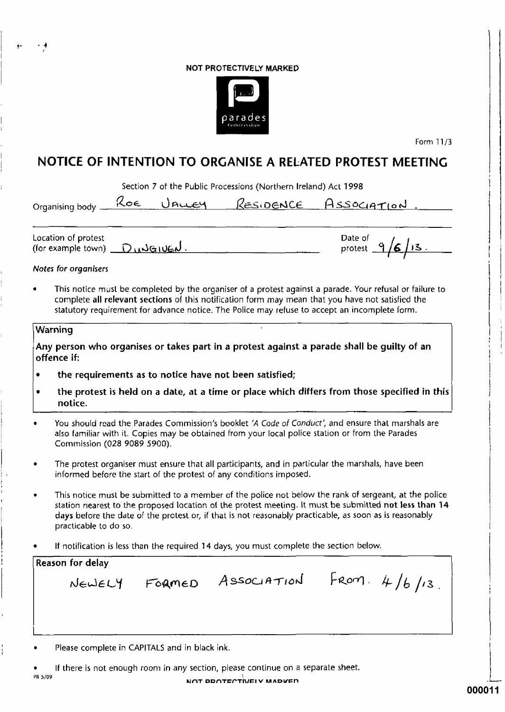### NOT PROTECTIVELY MARKED



Form 11/3

## - I N 1.25

|                                                                |     |        | Section 7 of the Public Processions (Northern Ireland) Act 1998                         |                                                                                                                                                                                                                                                                                                                            |
|----------------------------------------------------------------|-----|--------|-----------------------------------------------------------------------------------------|----------------------------------------------------------------------------------------------------------------------------------------------------------------------------------------------------------------------------------------------------------------------------------------------------------------------------|
| Organising body <u>_</u> __                                    | Roe |        |                                                                                         | <u>Unuey Residence Association.</u>                                                                                                                                                                                                                                                                                        |
| ocation of protest.<br>(for example town) $\bigcirc$ wiselved. |     |        |                                                                                         | Date of $9/6/13$ .                                                                                                                                                                                                                                                                                                         |
| Notes for organisers                                           |     |        |                                                                                         |                                                                                                                                                                                                                                                                                                                            |
|                                                                |     |        |                                                                                         | This notice must be completed by the organiser of a protest against a parade. Your refusal or failure to<br>complete all relevant sections of this notification form may mean that you have not satisfied the<br>statutory requirement for advance notice. The Police may refuse to accept an incomplete form.             |
| Warning                                                        |     |        |                                                                                         |                                                                                                                                                                                                                                                                                                                            |
| offence if:                                                    |     |        |                                                                                         | Any person who organises or takes part in a protest against a parade shall be guilty of an                                                                                                                                                                                                                                 |
|                                                                |     |        | the requirements as to notice have not been satisfied;                                  |                                                                                                                                                                                                                                                                                                                            |
|                                                                |     |        |                                                                                         | the protest is held on a date, at a time or place which differs from those specified in this                                                                                                                                                                                                                               |
| notice.                                                        |     |        |                                                                                         |                                                                                                                                                                                                                                                                                                                            |
| Commission (028 9089 5900).                                    |     |        |                                                                                         | You should read the Parades Commission's booklet 'A Code of Conduct', and ensure that marshals are<br>also familiar with it. Copies may be obtained from your local police station or from the Parades                                                                                                                     |
|                                                                |     |        | informed before the start of the protest of any conditions imposed.                     | The protest organiser must ensure that all participants, and in particular the marshals, have been                                                                                                                                                                                                                         |
| practicable to do so.                                          |     |        |                                                                                         | This notice must be submitted to a member of the police not below the rank of sergeant, at the police<br>station nearest to the proposed location of the protest meeting. It must be submitted not less than 14<br>days before the date of the protest or, if that is not reasonably practicable, as soon as is reasonably |
|                                                                |     |        | If notification is less than the required 14 days, you must complete the section below. |                                                                                                                                                                                                                                                                                                                            |
|                                                                |     |        |                                                                                         |                                                                                                                                                                                                                                                                                                                            |
| Reason for delay<br>NEWELY                                     |     | FORMED |                                                                                         | ASSOCIATION FROM. $4/6/13$ .                                                                                                                                                                                                                                                                                               |

Please complete in CAPITALS and in black ink.

If there is not enough room in any section, please continue on a separate sheet.  $\bullet$ 

PB 5/09

ì

 $\hat{\mathbf{r}}$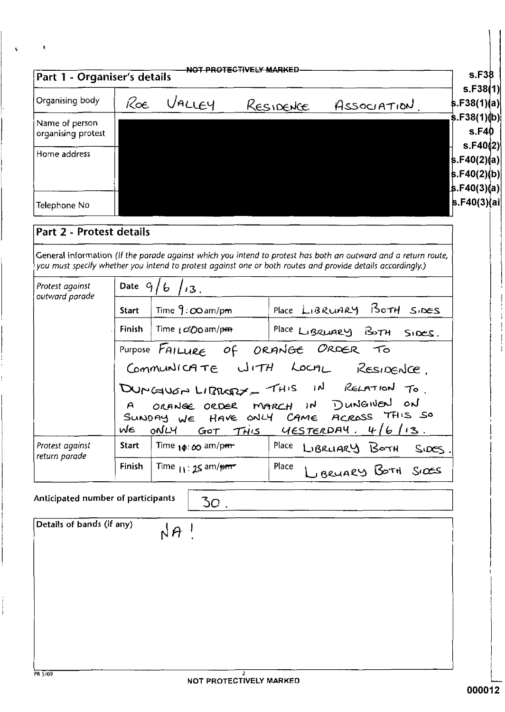| S.F40(2)(a) <br> s.F40(2)(b) <br> s.F40(3)(a)∣<br>Part 2 - Protest details<br>General information (If the parade against which you intend to protest has both an outward and a return route,<br>you must specify whether you intend to protest against one or both routes and provide details accordingly.)<br>Date $9/6 / 3$ .<br>outward parade<br>Place LIBRUARY 150TH SIDES<br>Time $9:$ $\infty$ am/pm<br><b>Start</b><br><b>Finish</b><br>Time (OO am/pm<br>Place LIBRUARY BOTH SIDES.<br>Purpose FAILURE Of ORANGE ORDER To<br>Communicate with Local Residence.<br>DUMGUGA LIBRARY - THIS IN RELATION TO.<br>ORANGE ORDER MARCH IN DUNGINEN ON<br>$\mathsf{A}$<br>SUNDAY WE HAVE ONLY CAME ACROSS THIS SO<br>WE ONLY GOT THIS YESTERDAY. 4/6/13<br>Place<br><b>Start</b><br>Time $_{1\phi}$ : $_{00}$ am/pm.<br>LIBRUARY BOTH<br>S <sub>0</sub><br>return parade<br>LIBRUARY BOTH SIDES<br>Place<br><b>Finish</b><br>Time $_{11}$ : 25 am/pm<br>Anticipated number of participants<br>30 <sub>1</sub><br>Details of bands (if any)<br>$NA$ ! | Organising body                      | Roe i | VALLEY | RESIDENCE | Association. | S.F38(1)(a) |
|------------------------------------------------------------------------------------------------------------------------------------------------------------------------------------------------------------------------------------------------------------------------------------------------------------------------------------------------------------------------------------------------------------------------------------------------------------------------------------------------------------------------------------------------------------------------------------------------------------------------------------------------------------------------------------------------------------------------------------------------------------------------------------------------------------------------------------------------------------------------------------------------------------------------------------------------------------------------------------------------------------------------------------------------------|--------------------------------------|-------|--------|-----------|--------------|-------------|
|                                                                                                                                                                                                                                                                                                                                                                                                                                                                                                                                                                                                                                                                                                                                                                                                                                                                                                                                                                                                                                                      | Name of person<br>organising protest |       |        |           |              |             |
|                                                                                                                                                                                                                                                                                                                                                                                                                                                                                                                                                                                                                                                                                                                                                                                                                                                                                                                                                                                                                                                      | Home address                         |       |        |           |              |             |
|                                                                                                                                                                                                                                                                                                                                                                                                                                                                                                                                                                                                                                                                                                                                                                                                                                                                                                                                                                                                                                                      | Telephone No                         |       |        |           |              |             |
|                                                                                                                                                                                                                                                                                                                                                                                                                                                                                                                                                                                                                                                                                                                                                                                                                                                                                                                                                                                                                                                      |                                      |       |        |           |              |             |
|                                                                                                                                                                                                                                                                                                                                                                                                                                                                                                                                                                                                                                                                                                                                                                                                                                                                                                                                                                                                                                                      |                                      |       |        |           |              |             |
|                                                                                                                                                                                                                                                                                                                                                                                                                                                                                                                                                                                                                                                                                                                                                                                                                                                                                                                                                                                                                                                      | Protest against                      |       |        |           |              |             |
|                                                                                                                                                                                                                                                                                                                                                                                                                                                                                                                                                                                                                                                                                                                                                                                                                                                                                                                                                                                                                                                      |                                      |       |        |           |              |             |
|                                                                                                                                                                                                                                                                                                                                                                                                                                                                                                                                                                                                                                                                                                                                                                                                                                                                                                                                                                                                                                                      |                                      |       |        |           |              |             |
|                                                                                                                                                                                                                                                                                                                                                                                                                                                                                                                                                                                                                                                                                                                                                                                                                                                                                                                                                                                                                                                      |                                      |       |        |           |              |             |
|                                                                                                                                                                                                                                                                                                                                                                                                                                                                                                                                                                                                                                                                                                                                                                                                                                                                                                                                                                                                                                                      |                                      |       |        |           |              |             |
|                                                                                                                                                                                                                                                                                                                                                                                                                                                                                                                                                                                                                                                                                                                                                                                                                                                                                                                                                                                                                                                      |                                      |       |        |           |              |             |
|                                                                                                                                                                                                                                                                                                                                                                                                                                                                                                                                                                                                                                                                                                                                                                                                                                                                                                                                                                                                                                                      |                                      |       |        |           |              |             |
|                                                                                                                                                                                                                                                                                                                                                                                                                                                                                                                                                                                                                                                                                                                                                                                                                                                                                                                                                                                                                                                      | Protest against                      |       |        |           |              |             |
|                                                                                                                                                                                                                                                                                                                                                                                                                                                                                                                                                                                                                                                                                                                                                                                                                                                                                                                                                                                                                                                      |                                      |       |        |           |              |             |
|                                                                                                                                                                                                                                                                                                                                                                                                                                                                                                                                                                                                                                                                                                                                                                                                                                                                                                                                                                                                                                                      |                                      |       |        |           |              |             |
|                                                                                                                                                                                                                                                                                                                                                                                                                                                                                                                                                                                                                                                                                                                                                                                                                                                                                                                                                                                                                                                      |                                      |       |        |           |              |             |
|                                                                                                                                                                                                                                                                                                                                                                                                                                                                                                                                                                                                                                                                                                                                                                                                                                                                                                                                                                                                                                                      |                                      |       |        |           |              |             |
|                                                                                                                                                                                                                                                                                                                                                                                                                                                                                                                                                                                                                                                                                                                                                                                                                                                                                                                                                                                                                                                      |                                      |       |        |           |              |             |
|                                                                                                                                                                                                                                                                                                                                                                                                                                                                                                                                                                                                                                                                                                                                                                                                                                                                                                                                                                                                                                                      |                                      |       |        |           |              |             |
|                                                                                                                                                                                                                                                                                                                                                                                                                                                                                                                                                                                                                                                                                                                                                                                                                                                                                                                                                                                                                                                      |                                      |       |        |           |              |             |
|                                                                                                                                                                                                                                                                                                                                                                                                                                                                                                                                                                                                                                                                                                                                                                                                                                                                                                                                                                                                                                                      |                                      |       |        |           |              |             |
|                                                                                                                                                                                                                                                                                                                                                                                                                                                                                                                                                                                                                                                                                                                                                                                                                                                                                                                                                                                                                                                      |                                      |       |        |           |              |             |
|                                                                                                                                                                                                                                                                                                                                                                                                                                                                                                                                                                                                                                                                                                                                                                                                                                                                                                                                                                                                                                                      |                                      |       |        |           |              |             |
| 2                                                                                                                                                                                                                                                                                                                                                                                                                                                                                                                                                                                                                                                                                                                                                                                                                                                                                                                                                                                                                                                    | PB 5/09                              |       |        |           |              |             |

 $\mathbf{r}$ 

 $\Lambda$ 

 $\begin{array}{c} \begin{array}{c} \bullet \\ \bullet \end{array} \end{array}$ 

 $\mathcal{L}$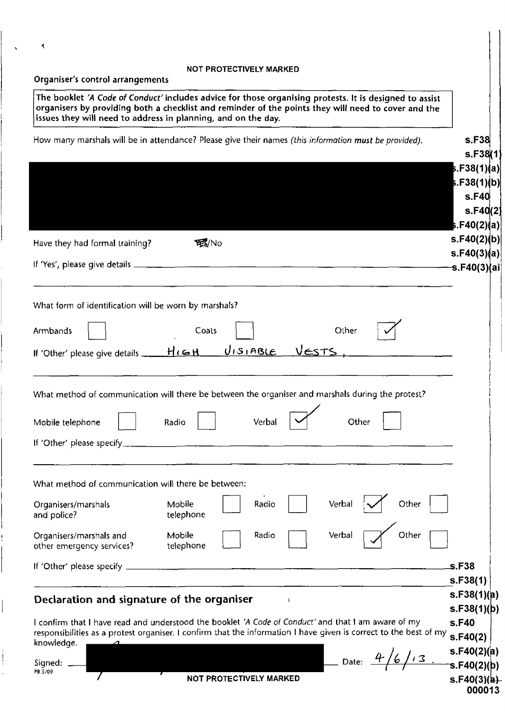### NOT PROTECTIVELY MARKED

|  |  |  |  |  | Organiser's control arrangements |
|--|--|--|--|--|----------------------------------|
|--|--|--|--|--|----------------------------------|

 $\blacktriangleleft$ 

 $\ddot{\phantom{a}}$ 

 $\vdots$  $\ddot{\phantom{a}}$ 

|                                                                                            | issues they will need to address in planning, and on the day.                                                                                                                                                            | organisers by providing both a checklist and reminder of the points they will need to cover and the |
|--------------------------------------------------------------------------------------------|--------------------------------------------------------------------------------------------------------------------------------------------------------------------------------------------------------------------------|-----------------------------------------------------------------------------------------------------|
|                                                                                            | How many marshals will be in attendance? Please give their names (this information must be provided).                                                                                                                    | s.F38<br>s.F38(1)                                                                                   |
|                                                                                            |                                                                                                                                                                                                                          | }.F38(1)(a)∣<br>5.F38(1)(b)                                                                         |
|                                                                                            |                                                                                                                                                                                                                          | s.F40                                                                                               |
|                                                                                            |                                                                                                                                                                                                                          | s.F40(2)<br><b>).F40(2)(a</b> )                                                                     |
| Have they had formal training?                                                             | 系/No                                                                                                                                                                                                                     | s.F40(2)(b)                                                                                         |
|                                                                                            |                                                                                                                                                                                                                          | s.F40(3)(a)<br><del>−</del> s.F40(3)(ai∣                                                            |
|                                                                                            |                                                                                                                                                                                                                          |                                                                                                     |
| What form of identification will be worn by marshals?                                      |                                                                                                                                                                                                                          |                                                                                                     |
| <b>Armbands</b>                                                                            | Other<br>Coats                                                                                                                                                                                                           |                                                                                                     |
|                                                                                            | If 'Other' please give details _ HIGH UISIABLE VESTS                                                                                                                                                                     |                                                                                                     |
|                                                                                            |                                                                                                                                                                                                                          |                                                                                                     |
|                                                                                            | What method of communication will there be between the organiser and marshals during the protest?                                                                                                                        |                                                                                                     |
| Mobile telephone                                                                           | Verbal<br>Radio<br>Other                                                                                                                                                                                                 |                                                                                                     |
| If 'Other' please specify_                                                                 |                                                                                                                                                                                                                          |                                                                                                     |
|                                                                                            |                                                                                                                                                                                                                          |                                                                                                     |
|                                                                                            |                                                                                                                                                                                                                          |                                                                                                     |
| What method of communication will there be between:                                        |                                                                                                                                                                                                                          |                                                                                                     |
|                                                                                            | Verbal<br>Other<br>Radio<br>Mobile<br>telephone                                                                                                                                                                          |                                                                                                     |
| Organisers/marshals<br>and police?<br>Organisers/marshals and<br>other emergency services? | Verbal<br>Mobile<br>Radio<br>Other<br>telephone                                                                                                                                                                          |                                                                                                     |
|                                                                                            |                                                                                                                                                                                                                          | s.F38                                                                                               |
| If 'Other' please specify.                                                                 |                                                                                                                                                                                                                          | s.F38(1)                                                                                            |
|                                                                                            |                                                                                                                                                                                                                          | s.F38(1)(a)<br>s.F38(1)(b)                                                                          |
| Declaration and signature of the organiser                                                 | I confirm that I have read and understood the booklet 'A Code of Conduct' and that I am aware of my<br>responsibilities as a protest organiser. I confirm that the information I have given is correct to the best of my | s.F40<br>s.F40(2)                                                                                   |
| knowledge.<br>Signed:                                                                      | Date: $\frac{4}{6}$ / $\frac{5.540(2)}{10}$<br>S.F40(2)(p)                                                                                                                                                               | s.F40(2)(a)                                                                                         |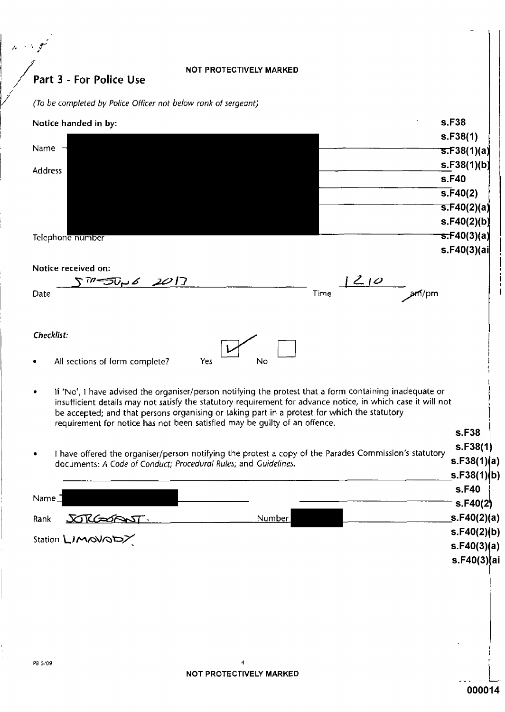### NOT PROTECTIVELY MARKED

Part 3 - For Police Use

.<br>مواليد

 $\hat{\mathbf{v}}$ 

(To be completed by Police Officer not below rank of sergeant)

| Notice handed in by:                                                                                                                                                                                                                                                                                                                                                                                  | s.F38                                   |
|-------------------------------------------------------------------------------------------------------------------------------------------------------------------------------------------------------------------------------------------------------------------------------------------------------------------------------------------------------------------------------------------------------|-----------------------------------------|
| Name                                                                                                                                                                                                                                                                                                                                                                                                  | s.F38(1)<br><del>s.F</del> 38(1)(a)     |
|                                                                                                                                                                                                                                                                                                                                                                                                       | s.F38(1)(b)                             |
| <b>Address</b>                                                                                                                                                                                                                                                                                                                                                                                        | s.F40                                   |
|                                                                                                                                                                                                                                                                                                                                                                                                       | $\overline{s}$ .F40(2)                  |
|                                                                                                                                                                                                                                                                                                                                                                                                       | <u>s.F40(2)(a)</u>                      |
|                                                                                                                                                                                                                                                                                                                                                                                                       | s.F40(2)(b)                             |
| Telephone number                                                                                                                                                                                                                                                                                                                                                                                      | <del>s.F</del> 40(3)(a)<br>s.F40(3)(ai) |
|                                                                                                                                                                                                                                                                                                                                                                                                       |                                         |
| Notice received on:<br><b>アラシッ<i>ム 201</i>7</b>                                                                                                                                                                                                                                                                                                                                                       | 210                                     |
| Date                                                                                                                                                                                                                                                                                                                                                                                                  | Time<br>ан (/pm                         |
|                                                                                                                                                                                                                                                                                                                                                                                                       |                                         |
|                                                                                                                                                                                                                                                                                                                                                                                                       |                                         |
| Checklist:                                                                                                                                                                                                                                                                                                                                                                                            |                                         |
| Yes<br>All sections of form complete?                                                                                                                                                                                                                                                                                                                                                                 | No                                      |
| If 'No', I have advised the organiser/person notifying the protest that a form containing inadequate or<br>insufficient details may not satisfy the statutory requirement for advance notice, in which case it will not<br>be accepted; and that persons organising or taking part in a protest for which the statutory<br>requirement for notice has not been satisfied may be quilty of an offence. |                                         |
|                                                                                                                                                                                                                                                                                                                                                                                                       | s.F38                                   |
| I have offered the organiser/person notifying the protest a copy of the Parades Commission's statutory<br>documents: A Code of Conduct; Procedural Rules; and Guidelines.                                                                                                                                                                                                                             | s.F38(1)<br>s.F38(1)(a)                 |
|                                                                                                                                                                                                                                                                                                                                                                                                       | S.F38(1)(b)                             |
| $Name_$                                                                                                                                                                                                                                                                                                                                                                                               | s.F40                                   |
|                                                                                                                                                                                                                                                                                                                                                                                                       | S.F40(2)                                |
| Rank <u>SORGSOPOST.</u><br>Station <b>L</b> IMOVODZ                                                                                                                                                                                                                                                                                                                                                   | s.F40(2)(a)<br>Number                   |
|                                                                                                                                                                                                                                                                                                                                                                                                       | s.F40(2)(b)<br>s.F40(3)(a)              |
|                                                                                                                                                                                                                                                                                                                                                                                                       | s.F40(3)(ai                             |
|                                                                                                                                                                                                                                                                                                                                                                                                       |                                         |
|                                                                                                                                                                                                                                                                                                                                                                                                       |                                         |
|                                                                                                                                                                                                                                                                                                                                                                                                       |                                         |
|                                                                                                                                                                                                                                                                                                                                                                                                       |                                         |
|                                                                                                                                                                                                                                                                                                                                                                                                       |                                         |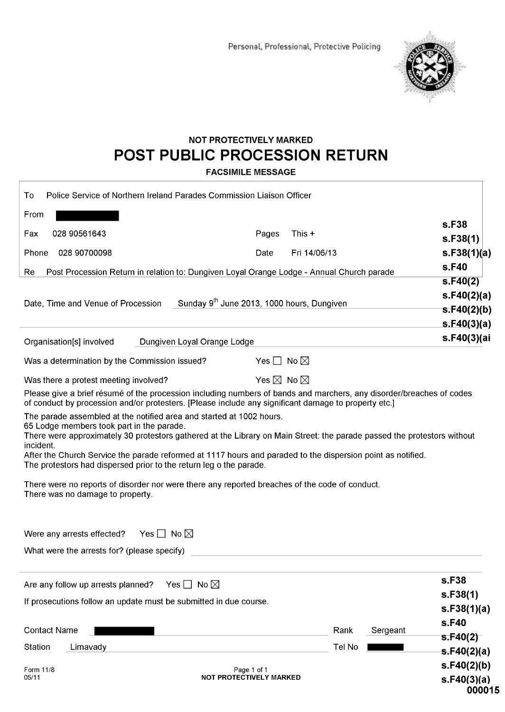

## **NOT PROTECTIVELY MARKED** POST PUBLIC PROCESSION RETURN

**FACSIMILE MESSAGE** 

| Police Service of Northern Ireland Parades Commission Liaison Officer<br>To                                                                                                                                                                                                                                                                                                                                                                                                                                                                                                                                                                                                                                                                                                                                                                                                                                                                                             |                                                        |                                                                                     |  |
|-------------------------------------------------------------------------------------------------------------------------------------------------------------------------------------------------------------------------------------------------------------------------------------------------------------------------------------------------------------------------------------------------------------------------------------------------------------------------------------------------------------------------------------------------------------------------------------------------------------------------------------------------------------------------------------------------------------------------------------------------------------------------------------------------------------------------------------------------------------------------------------------------------------------------------------------------------------------------|--------------------------------------------------------|-------------------------------------------------------------------------------------|--|
| From<br>028 90561643<br>Fax                                                                                                                                                                                                                                                                                                                                                                                                                                                                                                                                                                                                                                                                                                                                                                                                                                                                                                                                             | This +<br>Pages                                        | s.F38<br>S.F38(1)                                                                   |  |
| 028 90700098<br>Phone                                                                                                                                                                                                                                                                                                                                                                                                                                                                                                                                                                                                                                                                                                                                                                                                                                                                                                                                                   | Fri 14/06/13<br>Date                                   | s.F38(1)(a)<br>s.F40                                                                |  |
| Post Procession Return in relation to: Dungiven Loyal Orange Lodge - Annual Church parade<br>Re                                                                                                                                                                                                                                                                                                                                                                                                                                                                                                                                                                                                                                                                                                                                                                                                                                                                         |                                                        | S.F40(2)                                                                            |  |
| Date, Time and Venue of Procession                                                                                                                                                                                                                                                                                                                                                                                                                                                                                                                                                                                                                                                                                                                                                                                                                                                                                                                                      | Sunday 9 <sup>th</sup> June 2013, 1000 hours, Dungiven | s.F40(2)(a)<br>s.F40(2)(b)<br>s.F40(3)(a)                                           |  |
| Dungiven Loyal Orange Lodge<br>Organisation[s] involved                                                                                                                                                                                                                                                                                                                                                                                                                                                                                                                                                                                                                                                                                                                                                                                                                                                                                                                 |                                                        | s.F40(3)(ai                                                                         |  |
| Was a determination by the Commission issued?                                                                                                                                                                                                                                                                                                                                                                                                                                                                                                                                                                                                                                                                                                                                                                                                                                                                                                                           | Yes $\Box$ No $\boxtimes$                              |                                                                                     |  |
| Was there a protest meeting involved?<br>Please give a brief résumé of the procession including numbers of bands and marchers, any disorder/breaches of codes<br>of conduct by procession and/or protesters. [Please include any significant damage to property etc.]<br>The parade assembled at the notified area and started at 1002 hours.<br>65 Lodge members took part in the parade.<br>There were approximately 30 protestors gathered at the Library on Main Street: the parade passed the protestors without<br>incident.<br>After the Church Service the parade reformed at 1117 hours and paraded to the dispersion point as notified.<br>The protestors had dispersed prior to the return leg o the parade.<br>There were no reports of disorder nor were there any reported breaches of the code of conduct.<br>There was no damage to property.<br>Yes $\Box$ No $\boxtimes$<br>Were any arrests effected?<br>What were the arrests for? (please specify) | Yes $\boxtimes$ No $\boxtimes$                         |                                                                                     |  |
| Are any follow up arrests planned?<br>Yes $\Box$ No $\boxtimes$<br>If prosecutions follow an update must be submitted in due course.<br><b>Contact Name</b><br><b>Station</b><br>Limavady                                                                                                                                                                                                                                                                                                                                                                                                                                                                                                                                                                                                                                                                                                                                                                               | Rank<br>Sergeant<br>Tel No                             | s.F38<br>s.F38(1)<br>s.F38(1)(a)<br>s.F40<br>s.F40(2)<br>s.F40(2)(a)<br>s.F40(2)(b) |  |
| Form 11/8<br>Page 1 of 1<br><b>NOT PROTECTIVELY MARKED</b><br>05/11                                                                                                                                                                                                                                                                                                                                                                                                                                                                                                                                                                                                                                                                                                                                                                                                                                                                                                     |                                                        | s.F40(3)(a)<br>000015                                                               |  |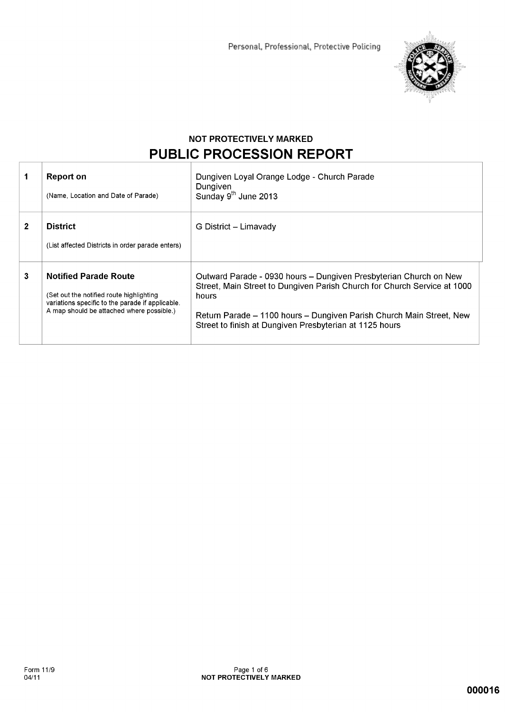

## **NOT PROTECTIVELY MARKED** PUBLIC PROCESSION REPORT

|   | Report on<br>(Name, Location and Date of Parade)                                                                                                                          | Dungiven Loyal Orange Lodge - Church Parade<br>Dungiven<br>Sunday 9 <sup>th</sup> June 2013                                                                                                                                                                                               |
|---|---------------------------------------------------------------------------------------------------------------------------------------------------------------------------|-------------------------------------------------------------------------------------------------------------------------------------------------------------------------------------------------------------------------------------------------------------------------------------------|
| 2 | <b>District</b><br>(List affected Districts in order parade enters)                                                                                                       | G District – Limavady                                                                                                                                                                                                                                                                     |
| 3 | <b>Notified Parade Route</b><br>(Set out the notified route highlighting<br>variations specific to the parade if applicable.<br>A map should be attached where possible.) | Outward Parade - 0930 hours - Dungiven Presbyterian Church on New<br>Street, Main Street to Dungiven Parish Church for Church Service at 1000<br>hours<br>Return Parade – 1100 hours – Dungiven Parish Church Main Street, New<br>Street to finish at Dungiven Presbyterian at 1125 hours |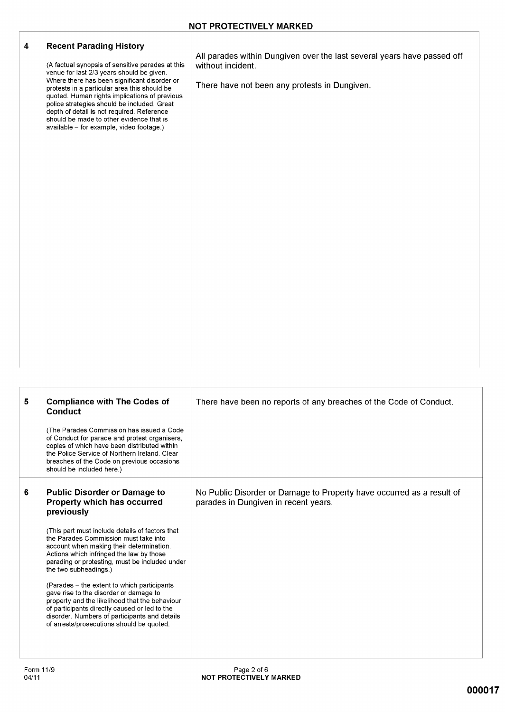| 4          | <b>Recent Parading History</b><br>(A factual synopsis of sensitive parades at this<br>venue for last 2/3 years should be given.<br>Where there has been significant disorder or<br>protests in a particular area this should be<br>quoted. Human rights implications of previous<br>police strategies should be included. Great<br>depth of detail is not required. Reference<br>should be made to other evidence that is<br>available - for example, video footage.) | All parades within Dungiven over the last several years have passed off<br>without incident.<br>There have not been any protests in Dungiven. |
|------------|-----------------------------------------------------------------------------------------------------------------------------------------------------------------------------------------------------------------------------------------------------------------------------------------------------------------------------------------------------------------------------------------------------------------------------------------------------------------------|-----------------------------------------------------------------------------------------------------------------------------------------------|
| $\sqrt{5}$ | <b>Compliance with The Codes of</b><br><b>Conduct</b><br>(The Parades Commission has issued a Code)<br>of Conduct for parade and protest organisers,                                                                                                                                                                                                                                                                                                                  | There have been no reports of any breaches of the Code of Conduct.                                                                            |

|   | (The Parades Commission has issued a Code)<br>of Conduct for parade and protest organisers.<br>copies of which have been distributed within<br>the Police Service of Northern Ireland, Clear<br>breaches of the Code on previous occasions<br>should be included here.)                                                                                                                                                                                                                                                                                                                                                                    |                                                                                                               |
|---|--------------------------------------------------------------------------------------------------------------------------------------------------------------------------------------------------------------------------------------------------------------------------------------------------------------------------------------------------------------------------------------------------------------------------------------------------------------------------------------------------------------------------------------------------------------------------------------------------------------------------------------------|---------------------------------------------------------------------------------------------------------------|
| 6 | <b>Public Disorder or Damage to</b><br>Property which has occurred<br>previously<br>(This part must include details of factors that<br>the Parades Commission must take into<br>account when making their determination.<br>Actions which infringed the law by those<br>parading or protesting, must be included under<br>the two subheadings.)<br>(Parades – the extent to which participants)<br>gave rise to the disorder or damage to<br>property and the likelihood that the behaviour<br>of participants directly caused or led to the<br>disorder. Numbers of participants and details<br>of arrests/prosecutions should be quoted. | No Public Disorder or Damage to Property have occurred as a result of<br>parades in Dungiven in recent years. |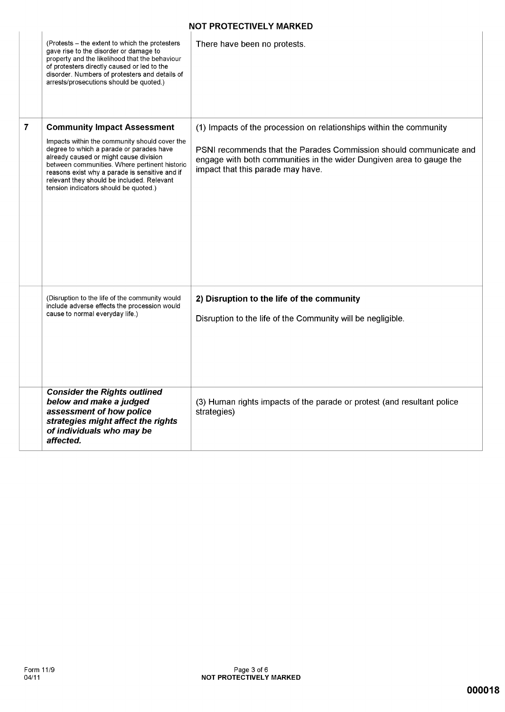### **NOT PROTECTIVELY MARKED**

|   |                                                                                                                                                                                                                                                                                                                                                                     | I FINILUTIVLLI MAINNLL                                                                                                                                                                                                                                 |
|---|---------------------------------------------------------------------------------------------------------------------------------------------------------------------------------------------------------------------------------------------------------------------------------------------------------------------------------------------------------------------|--------------------------------------------------------------------------------------------------------------------------------------------------------------------------------------------------------------------------------------------------------|
|   | (Protests – the extent to which the protesters<br>gave rise to the disorder or damage to<br>property and the likelihood that the behaviour<br>of protesters directly caused or led to the<br>disorder. Numbers of protesters and details of<br>arrests/prosecutions should be quoted.)                                                                              | There have been no protests.                                                                                                                                                                                                                           |
| 7 | <b>Community Impact Assessment</b><br>Impacts within the community should cover the<br>degree to which a parade or parades have<br>already caused or might cause division<br>between communities. Where pertinent historic<br>reasons exist why a parade is sensitive and if<br>relevant they should be included. Relevant<br>tension indicators should be quoted.) | (1) Impacts of the procession on relationships within the community<br>PSNI recommends that the Parades Commission should communicate and<br>engage with both communities in the wider Dungiven area to gauge the<br>impact that this parade may have. |
|   | (Disruption to the life of the community would<br>include adverse effects the procession would<br>cause to normal everyday life.)                                                                                                                                                                                                                                   | 2) Disruption to the life of the community<br>Disruption to the life of the Community will be negligible.                                                                                                                                              |
|   | <b>Consider the Rights outlined</b><br>below and make a judged<br>assessment of how police<br>strategies might affect the rights<br>of individuals who may be<br>affected.                                                                                                                                                                                          | (3) Human rights impacts of the parade or protest (and resultant police<br>strategies)                                                                                                                                                                 |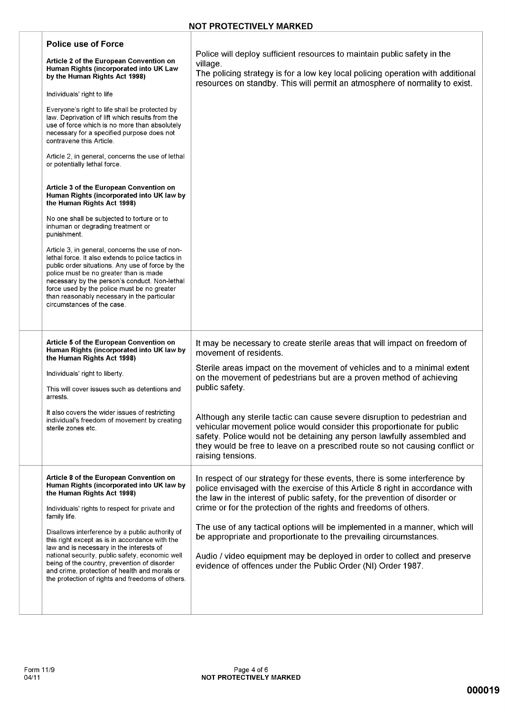| <b>Police use of Force</b><br>Article 2 of the European Convention on<br>Human Rights (incorporated into UK Law<br>by the Human Rights Act 1998)<br>Individuals' right to life<br>Everyone's right to life shall be protected by<br>law. Deprivation of lift which results from the<br>use of force which is no more than absolutely<br>necessary for a specified purpose does not<br>contravene this Article.<br>Article 2, in general, concerns the use of lethal<br>or potentially lethal force.<br>Article 3 of the European Convention on<br>Human Rights (incorporated into UK law by<br>the Human Rights Act 1998)<br>No one shall be subjected to torture or to<br>inhuman or degrading treatment or<br>punishment.<br>Article 3, in general, concerns the use of non-<br>lethal force. It also extends to police tactics in<br>public order situations. Any use of force by the<br>police must be no greater than is made<br>necessary by the person's conduct. Non-lethal<br>force used by the police must be no greater<br>than reasonably necessary in the particular<br>circumstances of the case. | Police will deploy sufficient resources to maintain public safety in the<br>village.<br>The policing strategy is for a low key local policing operation with additional<br>resources on standby. This will permit an atmosphere of normality to exist.                                                                                                                                                                                                                                                                                                                                                           |
|-----------------------------------------------------------------------------------------------------------------------------------------------------------------------------------------------------------------------------------------------------------------------------------------------------------------------------------------------------------------------------------------------------------------------------------------------------------------------------------------------------------------------------------------------------------------------------------------------------------------------------------------------------------------------------------------------------------------------------------------------------------------------------------------------------------------------------------------------------------------------------------------------------------------------------------------------------------------------------------------------------------------------------------------------------------------------------------------------------------------|------------------------------------------------------------------------------------------------------------------------------------------------------------------------------------------------------------------------------------------------------------------------------------------------------------------------------------------------------------------------------------------------------------------------------------------------------------------------------------------------------------------------------------------------------------------------------------------------------------------|
| Article 5 of the European Convention on<br>Human Rights (incorporated into UK law by<br>the Human Rights Act 1998)<br>Individuals' right to liberty.<br>This will cover issues such as detentions and<br>arrests.<br>It also covers the wider issues of restricting<br>individual's freedom of movement by creating<br>sterile zones etc.                                                                                                                                                                                                                                                                                                                                                                                                                                                                                                                                                                                                                                                                                                                                                                       | It may be necessary to create sterile areas that will impact on freedom of<br>movement of residents.<br>Sterile areas impact on the movement of vehicles and to a minimal extent<br>on the movement of pedestrians but are a proven method of achieving<br>public safety.<br>Although any sterile tactic can cause severe disruption to pedestrian and<br>vehicular movement police would consider this proportionate for public<br>safety. Police would not be detaining any person lawfully assembled and<br>they would be free to leave on a prescribed route so not causing conflict or<br>raising tensions. |
| Article 8 of the European Convention on<br>Human Rights (incorporated into UK law by<br>the Human Rights Act 1998)<br>Individuals' rights to respect for private and<br>family life.<br>Disallows interference by a public authority of<br>this right except as is in accordance with the<br>law and is necessary in the interests of<br>national security, public safety, economic well<br>being of the country, prevention of disorder<br>and crime, protection of health and morals or<br>the protection of rights and freedoms of others.                                                                                                                                                                                                                                                                                                                                                                                                                                                                                                                                                                   | In respect of our strategy for these events, there is some interference by<br>police envisaged with the exercise of this Article 8 right in accordance with<br>the law in the interest of public safety, for the prevention of disorder or<br>crime or for the protection of the rights and freedoms of others.<br>The use of any tactical options will be implemented in a manner, which will<br>be appropriate and proportionate to the prevailing circumstances.<br>Audio / video equipment may be deployed in order to collect and preserve<br>evidence of offences under the Public Order (NI) Order 1987.  |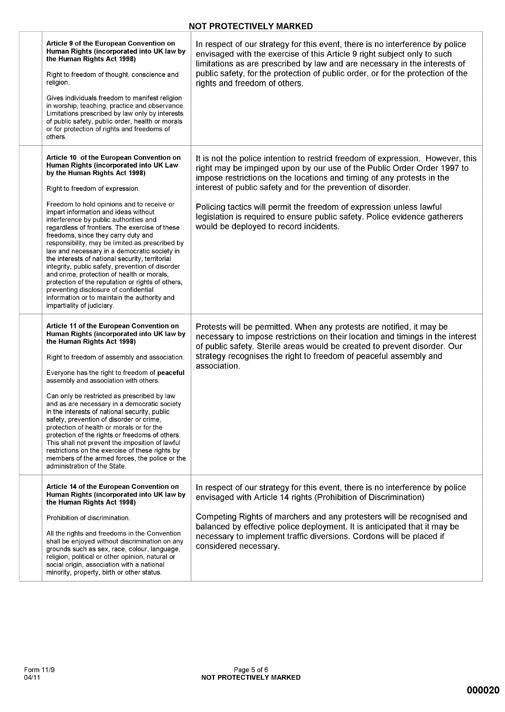### **NOT PROTECTIVELY MARKED**

| Article 9 of the European Convention on<br>Human Rights (incorporated into UK law by<br>the Human Rights Act 1998)<br>Right to freedom of thought, conscience and<br>religion.<br>Gives individuals freedom to manifest religion<br>in worship, teaching, practice and observance.<br>Limitations prescribed by law only by interests<br>of public safety, public order, health or morals<br>or for protection of rights and freedoms of<br>others.                                                                                                                                                                                                                                                                                                                                                                 | In respect of our strategy for this event, there is no interference by police<br>envisaged with the exercise of this Article 9 right subject only to such<br>limitations as are prescribed by law and are necessary in the interests of<br>public safety, for the protection of public order, or for the protection of the<br>rights and freedom of others.                                                                                                                                           |
|---------------------------------------------------------------------------------------------------------------------------------------------------------------------------------------------------------------------------------------------------------------------------------------------------------------------------------------------------------------------------------------------------------------------------------------------------------------------------------------------------------------------------------------------------------------------------------------------------------------------------------------------------------------------------------------------------------------------------------------------------------------------------------------------------------------------|-------------------------------------------------------------------------------------------------------------------------------------------------------------------------------------------------------------------------------------------------------------------------------------------------------------------------------------------------------------------------------------------------------------------------------------------------------------------------------------------------------|
| Article 10 of the European Convention on<br>Human Rights (incorporated into UK Law<br>by the Human Rights Act 1998)<br>Right to freedom of expression.<br>Freedom to hold opinions and to receive or<br>impart information and ideas without<br>interference by public authorities and<br>regardless of frontiers. The exercise of these<br>freedoms, since they carry duty and<br>responsibility, may be limited as prescribed by<br>law and necessary in a democratic society in<br>the interests of national security, territorial<br>integrity, public safety, prevention of disorder<br>and crime, protection of health or morals,<br>protection of the reputation or rights of others,<br>preventing disclosure of confidential<br>information or to maintain the authority and<br>impartiality of judiciary. | It is not the police intention to restrict freedom of expression. However, this<br>right may be impinged upon by our use of the Public Order Order 1997 to<br>impose restrictions on the locations and timing of any protests in the<br>interest of public safety and for the prevention of disorder.<br>Policing tactics will permit the freedom of expression unless lawful<br>legislation is required to ensure public safety. Police evidence gatherers<br>would be deployed to record incidents. |
| Article 11 of the European Convention on<br>Human Rights (incorporated into UK law by<br>the Human Rights Act 1998)<br>Right to freedom of assembly and association.<br>Everyone has the right to freedom of peaceful<br>assembly and association with others.<br>Can only be restricted as prescribed by law<br>and as are necessary in a democratic society<br>in the interests of national security, public<br>safety, prevention of disorder or crime,<br>protection of health or morals or for the<br>protection of the rights or freedoms of others.<br>This shall not prevent the imposition of lawful<br>restrictions on the exercise of these rights by<br>members of the armed forces, the police or the<br>administration of the State.                                                                  | Protests will be permitted. When any protests are notified, it may be<br>necessary to impose restrictions on their location and timings in the interest<br>of public safety. Sterile areas would be created to prevent disorder. Our<br>strategy recognises the right to freedom of peaceful assembly and<br>association.                                                                                                                                                                             |
| Article 14 of the European Convention on<br>Human Rights (incorporated into UK law by<br>the Human Rights Act 1998)<br>Prohibition of discrimination.<br>All the rights and freedoms in the Convention<br>shall be enjoyed without discrimination on any<br>grounds such as sex, race, colour, language,<br>religion, political or other opinion, natural or<br>social origin, association with a national<br>minority, property, birth or other status.                                                                                                                                                                                                                                                                                                                                                            | In respect of our strategy for this event, there is no interference by police<br>envisaged with Article 14 rights (Prohibition of Discrimination)<br>Competing Rights of marchers and any protesters will be recognised and<br>balanced by effective police deployment. It is anticipated that it may be<br>necessary to implement traffic diversions. Cordons will be placed if<br>considered necessary.                                                                                             |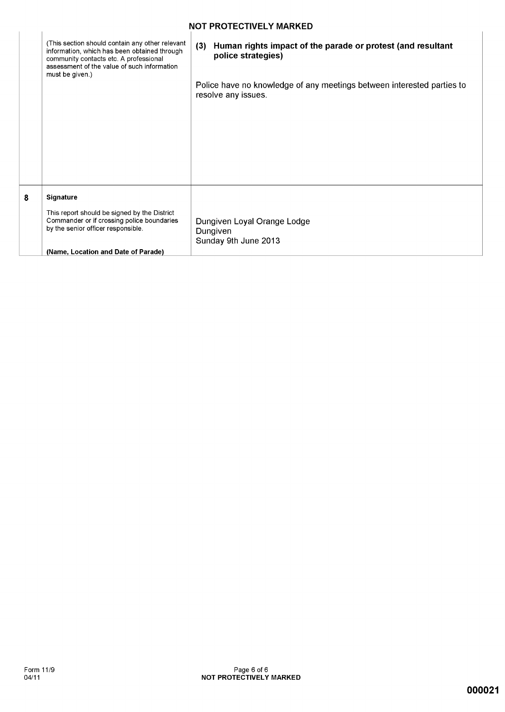|   | <b>NOT PROTECTIVELY MARKED</b>                                                                                                                                                                              |     |                                                                                               |  |  |  |  |  |  |
|---|-------------------------------------------------------------------------------------------------------------------------------------------------------------------------------------------------------------|-----|-----------------------------------------------------------------------------------------------|--|--|--|--|--|--|
|   | (This section should contain any other relevant<br>information, which has been obtained through<br>community contacts etc. A professional<br>assessment of the value of such information<br>must be given.) | (3) | Human rights impact of the parade or protest (and resultant<br>police strategies)             |  |  |  |  |  |  |
|   |                                                                                                                                                                                                             |     | Police have no knowledge of any meetings between interested parties to<br>resolve any issues. |  |  |  |  |  |  |
| 8 | <b>Signature</b><br>This report should be signed by the District<br>Commander or if crossing police boundaries<br>by the senior officer responsible.<br>(Name, Location and Date of Parade)                 |     | Dungiven Loyal Orange Lodge<br>Dungiven<br>Sunday 9th June 2013                               |  |  |  |  |  |  |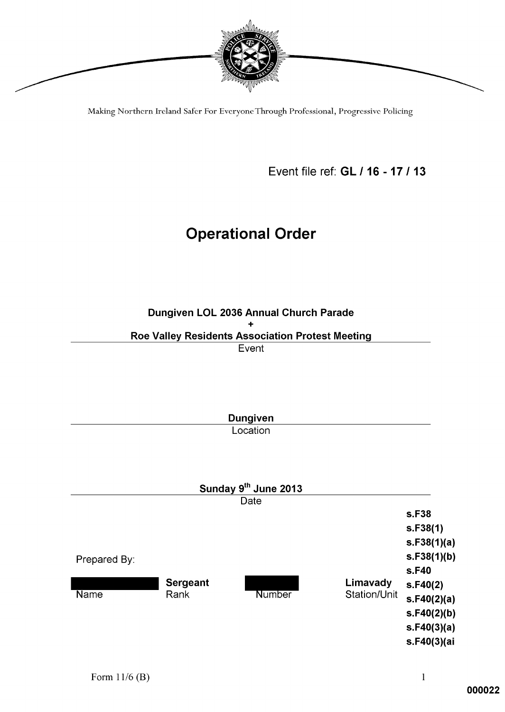

Making Northern Ireland Safer For Everyone Through Professional, Progressive Policing

Event file ref: GL / 16 - 17 / 13

# **Operational Order**

Dungiven LOL 2036 Annual Church Parade ÷ Roe Valley Residents Association Protest Meeting

Event

|              |                 | <b>Dungiven</b>      |              |             |
|--------------|-----------------|----------------------|--------------|-------------|
|              |                 | Location             |              |             |
|              |                 |                      |              |             |
|              |                 |                      |              |             |
|              |                 | Sunday 9th June 2013 |              |             |
|              |                 | Date                 |              |             |
|              |                 |                      |              | s.F38       |
|              |                 |                      |              | s.F38(1)    |
|              |                 |                      |              | s.F38(1)(a) |
| Prepared By: |                 |                      |              | s.F38(1)(b) |
|              |                 |                      |              | s.F40       |
|              | <b>Sergeant</b> |                      | Limavady     | s.F40(2)    |
| <b>Name</b>  | Rank            | <b>Number</b>        | Station/Unit | s.F40(2)(a) |
|              |                 |                      |              | s.F40(2)(b) |
|              |                 |                      |              | s.F40(3)(a) |
|              |                 |                      |              | s.F40(3)(ai |
|              |                 |                      |              |             |

 $\mathbf{1}% _{T}=\mathbf{1}_{T}\times\mathbf{1}_{T}$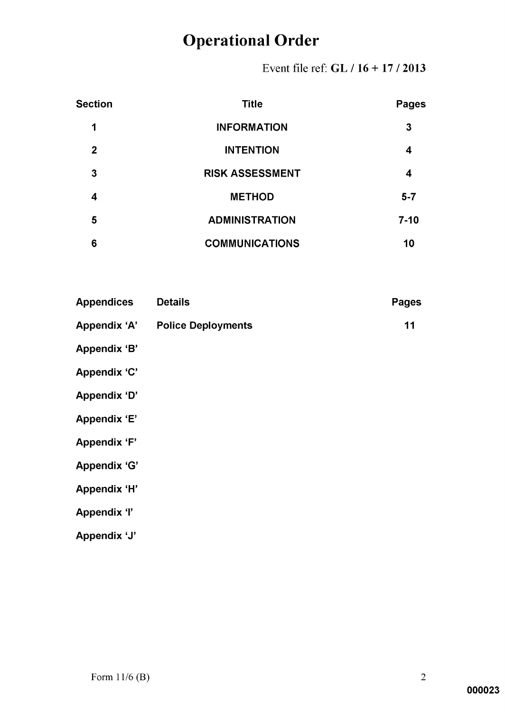Event file ref: GL / 16 + 17 / 2013

| <b>Section</b> | <b>Title</b>           | <b>Pages</b> |
|----------------|------------------------|--------------|
| 1              | <b>INFORMATION</b>     | 3            |
| $\mathbf{2}$   | <b>INTENTION</b>       | 4            |
| 3              | <b>RISK ASSESSMENT</b> | 4            |
| 4              | <b>METHOD</b>          | $5 - 7$      |
| 5              | <b>ADMINISTRATION</b>  | $7-10$       |
| 6              | <b>COMMUNICATIONS</b>  | 10           |

| <b>Appendices</b>   | <b>Details</b>            | <b>Pages</b> |
|---------------------|---------------------------|--------------|
| <b>Appendix 'A'</b> | <b>Police Deployments</b> | 11           |
| Appendix 'B'        |                           |              |
| <b>Appendix 'C'</b> |                           |              |
| <b>Appendix 'D'</b> |                           |              |
| <b>Appendix 'E'</b> |                           |              |
| <b>Appendix 'F'</b> |                           |              |
| <b>Appendix 'G'</b> |                           |              |
| <b>Appendix 'H'</b> |                           |              |
| <b>Appendix 'l'</b> |                           |              |
| Appendix 'J'        |                           |              |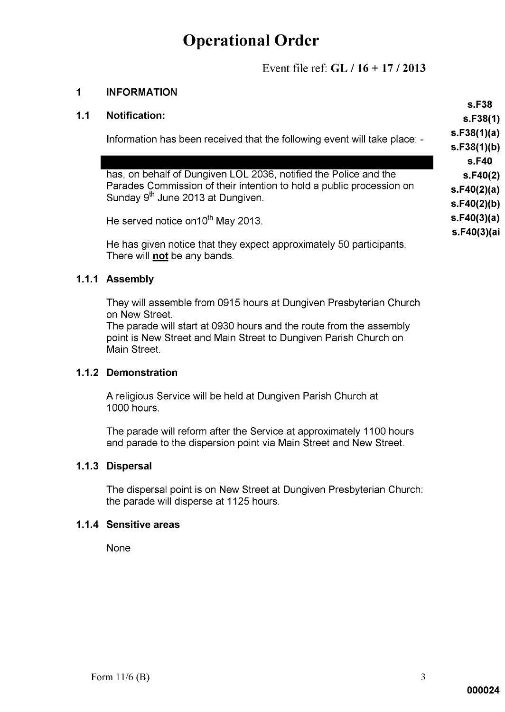Event file ref:  $GL / 16 + 17 / 2013$ 

#### $\overline{1}$ **INFORMATION**

Information has been received that the following event will take place: -

has, on behalf of Dungiven LOL 2036, notified the Police and the Parades Commission of their intention to hold a public procession on Sunday 9<sup>th</sup> June 2013 at Dungiven.

He served notice on 10<sup>th</sup> May 2013.

He has given notice that they expect approximately 50 participants. There will not be any bands.

### 1.1.1 Assemblv

They will assemble from 0915 hours at Dungiven Presbyterian Church on New Street.

The parade will start at 0930 hours and the route from the assembly point is New Street and Main Street to Dungiven Parish Church on Main Street.

### 1.1.2 Demonstration

A religious Service will be held at Dungiven Parish Church at 1000 hours.

The parade will reform after the Service at approximately 1100 hours and parade to the dispersion point via Main Street and New Street.

### 1.1.3 Dispersal

The dispersal point is on New Street at Dungiven Presbyterian Church: the parade will disperse at 1125 hours.

### 1.1.4 Sensitive areas

**None** 

s.F38  $s.F38(1)$  $s.F38(1)(a)$  $S.F38(1)(b)$ s.F40  $s.F40(2)$  $s.F40(2)(a)$  $s.F40(2)(b)$  $s.F40(3)(a)$ s.F40(3)(ai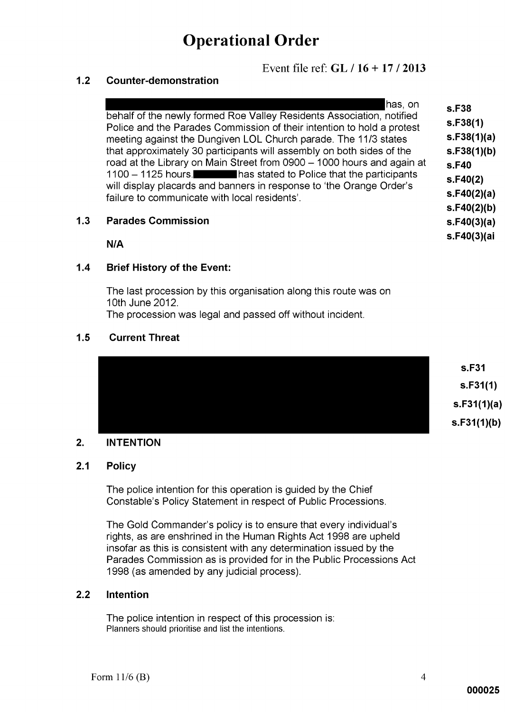Event file ref:  $GL / 16 + 17 / 2013$ 

#### $1.2$ **Counter-demonstration**

|     | has, on<br>behalf of the newly formed Roe Valley Residents Association, notified<br>Police and the Parades Commission of their intention to hold a protest<br>meeting against the Dungiven LOL Church parade. The 11/3 states<br>that approximately 30 participants will assembly on both sides of the<br>road at the Library on Main Street from 0900 - 1000 hours and again at<br>1100 - 1125 hours. has stated to Police that the participants<br>will display placards and banners in response to 'the Orange Order's<br>failure to communicate with local residents'. | s.F38<br>s.F38(1)<br>s.F38(1)(a)<br>s.F38(1)(b)<br>s.F40<br>s.F40(2)<br>s.F40(2)(a)<br>s.F40(2)(b) |
|-----|----------------------------------------------------------------------------------------------------------------------------------------------------------------------------------------------------------------------------------------------------------------------------------------------------------------------------------------------------------------------------------------------------------------------------------------------------------------------------------------------------------------------------------------------------------------------------|----------------------------------------------------------------------------------------------------|
| 1.3 | <b>Parades Commission</b>                                                                                                                                                                                                                                                                                                                                                                                                                                                                                                                                                  | s.F40(3)(a)                                                                                        |

 $N/A$ 

#### $1.4$ **Brief History of the Event:**

The last procession by this organisation along this route was on 10th June 2012.

The procession was legal and passed off without incident.

#### $1.5$ **Current Threat**



#### $2.$ **INTENTION**

#### $2.1$ **Policy**

The police intention for this operation is guided by the Chief Constable's Policy Statement in respect of Public Processions.

The Gold Commander's policy is to ensure that every individual's rights, as are enshrined in the Human Rights Act 1998 are upheld insofar as this is consistent with any determination issued by the Parades Commission as is provided for in the Public Processions Act 1998 (as amended by any judicial process).

#### $2.2$ **Intention**

The police intention in respect of this procession is: Planners should prioritise and list the intentions.

s.F40(3)(ai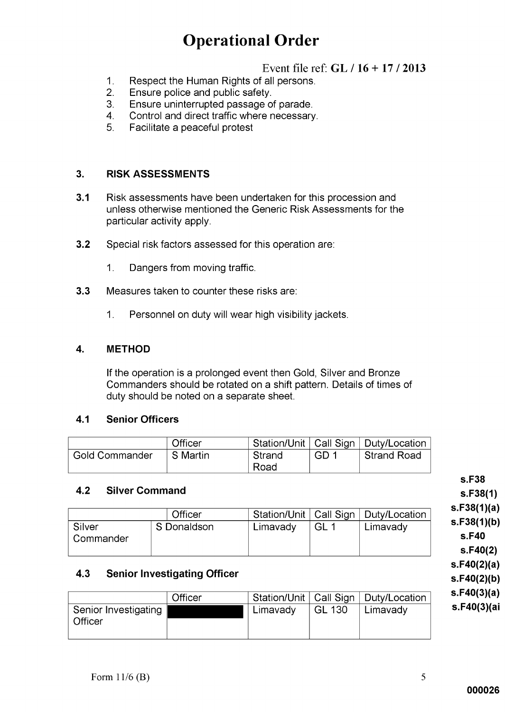## Event file ref:  $GL / 16 + 17 / 2013$

- Respect the Human Rights of all persons.  $1<sub>1</sub>$
- $2<sub>1</sub>$ Ensure police and public safety.
- Ensure uninterrupted passage of parade. 3.
- Control and direct traffic where necessary. 4.
- 5. Facilitate a peaceful protest

#### $3<sub>1</sub>$ **RISK ASSESSMENTS**

- $3.1$ Risk assessments have been undertaken for this procession and unless otherwise mentioned the Generic Risk Assessments for the particular activity apply.
- $3.2$ Special risk factors assessed for this operation are:
	- $1.$ Dangers from moving traffic.
- $3.3$ Measures taken to counter these risks are:
	- Personnel on duty will wear high visibility jackets.  $1<sub>1</sub>$

#### $\overline{\mathbf{4}}$ . **METHOD**

If the operation is a prolonged event then Gold, Silver and Bronze Commanders should be rotated on a shift pattern. Details of times of duty should be noted on a separate sheet.

#### $4.1$ **Senior Officers**

|                       | Officer  |          |      | <sup>∣</sup> Station/Unit   Call Sign   Duty/Location ∣ |
|-----------------------|----------|----------|------|---------------------------------------------------------|
| <b>Gold Commander</b> | S Martin | l Strand | GD 1 | Strand Road                                             |
|                       |          | Road     |      |                                                         |

#### $4.2$ **Silver Command**

|                       | Officer     |          |     | Station/Unit   Call Sign   Duty/Location |
|-----------------------|-------------|----------|-----|------------------------------------------|
| Silver<br>∣ Commander | S Donaldson | Limavady | GL. | Limavady                                 |

#### **Senior Investigating Officer** 4.3

|                                        | Officer |          |        | Station/Unit   Call Sign   Duty/Location |
|----------------------------------------|---------|----------|--------|------------------------------------------|
| Senior Investigating<br><b>Officer</b> |         | Limavady | GL 130 | Limavady                                 |

s.F38  $S.F38(1)$  $s.F38(1)(a)$  $s.F38(1)(b)$ 

s.F40  $S.F40(2)$  $s.F40(2)(a)$ 

 $s.F40(2)(b)$  $s.F40(3)(a)$ s.F40(3)(ai

Form  $11/6$  (B)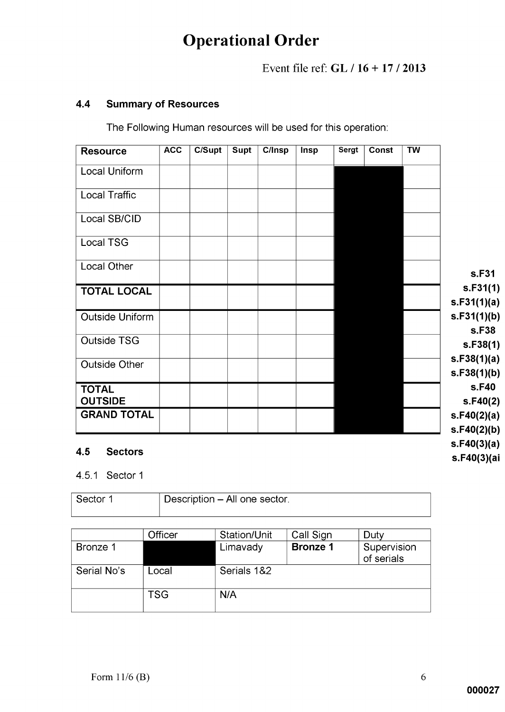## Event file ref:  $GL / 16 + 17 / 2013$

#### **Summary of Resources**  $4.4$

The Following Human resources will be used for this operation:

| <b>Resource</b>                      | <b>ACC</b> | $\overline{\text{C/Supt}}$ | <b>Supt</b> | C/Insp | Insp | Sergt | <b>Const</b> | <b>TW</b> |                            |
|--------------------------------------|------------|----------------------------|-------------|--------|------|-------|--------------|-----------|----------------------------|
| Local Uniform                        |            |                            |             |        |      |       |              |           |                            |
| <b>Local Traffic</b>                 |            |                            |             |        |      |       |              |           |                            |
| Local SB/CID                         |            |                            |             |        |      |       |              |           |                            |
| Local TSG                            |            |                            |             |        |      |       |              |           |                            |
| Local Other                          |            |                            |             |        |      |       |              |           | s.F31                      |
| <b>TOTAL LOCAL</b>                   |            |                            |             |        |      |       |              |           | s.F31(1)<br>s.F31(1)(a)    |
| <b>Outside Uniform</b>               |            |                            |             |        |      |       |              |           | s.F31(1)(b)                |
| <b>Outside TSG</b>                   |            |                            |             |        |      |       |              |           | s.F38<br>s.F38(1)          |
| <b>Outside Other</b>                 |            |                            |             |        |      |       |              |           | s.F38(1)(a)<br>s.F38(1)(b) |
| <b>TOTAL</b>                         |            |                            |             |        |      |       |              |           | s.F40                      |
| <b>OUTSIDE</b><br><b>GRAND TOTAL</b> |            |                            |             |        |      |       |              |           | s.F40(2)<br>s.F40(2)(a)    |
|                                      |            |                            |             |        |      |       |              |           | s.F40(2)(b)                |
| .                                    |            |                            |             |        |      |       |              |           | s.F40(3)(a)                |

#### $4.5$ **Sectors**

### 4.5.1 Sector 1

| ⊢Sector 1 | Description - All one sector. |
|-----------|-------------------------------|
|           |                               |

|             | Officer    | Station/Unit | Call Sign       | Duty                      |
|-------------|------------|--------------|-----------------|---------------------------|
| Bronze 1    |            | Limavady     | <b>Bronze 1</b> | Supervision<br>of serials |
| Serial No's | Local      | Serials 1&2  |                 |                           |
|             | <b>TSG</b> | N/A          |                 |                           |

s.F40(3)(ai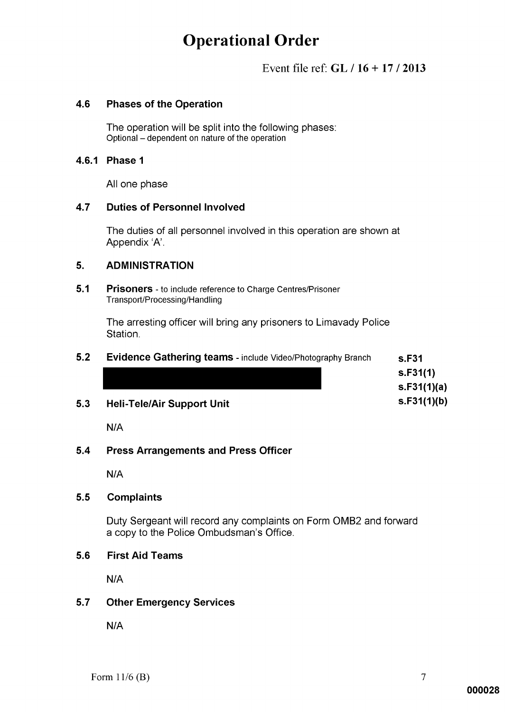## Event file ref:  $GL / 16 + 17 / 2013$

#### 4.6 **Phases of the Operation**

The operation will be split into the following phases: Optional – dependent on nature of the operation

### 4.6.1 Phase 1

All one phase

#### 4.7 **Duties of Personnel Involved**

The duties of all personnel involved in this operation are shown at Appendix 'A'.

#### 5. **ADMINISTRATION**

 $5.1$ **Prisoners** - to include reference to Charge Centres/Prisoner Transport/Processing/Handling

> The arresting officer will bring any prisoners to Limavady Police Station.

| 5.2 | Evidence Gathering teams - include Video/Photography Branch | s.F31       |
|-----|-------------------------------------------------------------|-------------|
|     |                                                             | S.F31(1)    |
|     |                                                             | s.F31(1)(a) |
| 5.3 | <b>Heli-Tele/Air Support Unit</b>                           | s.F31(1)(b) |

 $N/A$ 

#### $5.4$ **Press Arrangements and Press Officer**

 $N/A$ 

#### $5.5$ **Complaints**

Duty Sergeant will record any complaints on Form OMB2 and forward a copy to the Police Ombudsman's Office.

#### 5.6 **First Aid Teams**

 $N/A$ 

#### $5.7$ **Other Emergency Services**

 $N/A$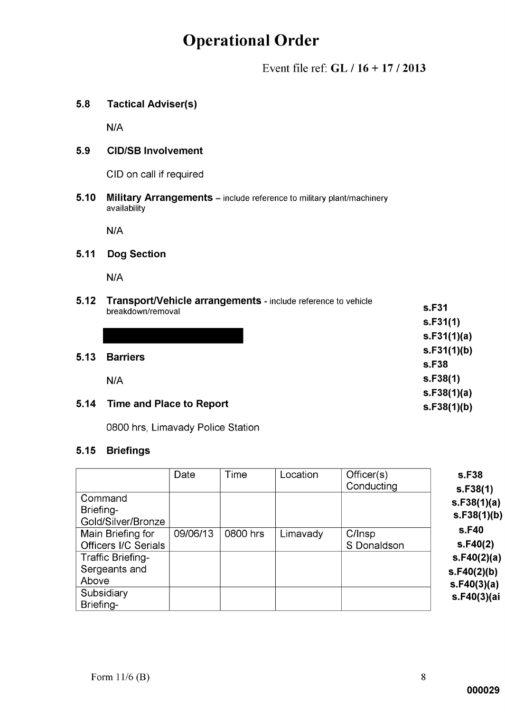Event file ref:  $GL / 16 + 17 / 2013$ 

#### **Tactical Adviser(s)**  $5.8$

 $N/A$ 

#### 5.9 **CID/SB Involvement**

CID on call if required

 $5.10$ Military Arrangements - include reference to military plant/machinery availability

 $N/A$ 

#### **Dog Section**  $5.11$

 $N/A$ 

| 5.12 | Transport/Vehicle arrangements - include reference to vehicle<br>breakdown/removal | s.F31       |
|------|------------------------------------------------------------------------------------|-------------|
|      |                                                                                    | s.F31(1)    |
|      |                                                                                    | s.F31(1)(a) |
| 5.13 | <b>Barriers</b>                                                                    | s.F31(1)(b) |
|      |                                                                                    | s.F38       |
|      | N/A                                                                                | s.F38(1)    |
|      |                                                                                    | s.F38(1)(a) |
| 5.14 | Time and Place to Report                                                           | s.F38(1)(b) |
|      |                                                                                    |             |

0800 hrs, Limavady Police Station

### 5.15 Briefings

|                             | Date     | Time     | Location | Officer(s)<br>Conducting | s.F38<br>s.F38(1) |
|-----------------------------|----------|----------|----------|--------------------------|-------------------|
| Command<br>Briefing-        |          |          |          |                          | s.F38(1)(a)       |
| Gold/Silver/Bronze          |          |          |          |                          | s.F38(1)(b)       |
| Main Briefing for           | 09/06/13 | 0800 hrs | Limavady | C/Insp                   | s.F40             |
| <b>Officers I/C Serials</b> |          |          |          | S Donaldson              | s.F40(2)          |
| Traffic Briefing-           |          |          |          |                          | s.F40(2)(a)       |
| Sergeants and               |          |          |          |                          | s.F40(2)(b)       |
| Above                       |          |          |          |                          | s.F40(3)(a)       |
| Subsidiary<br>Briefing-     |          |          |          |                          | s.F40(3)(ai       |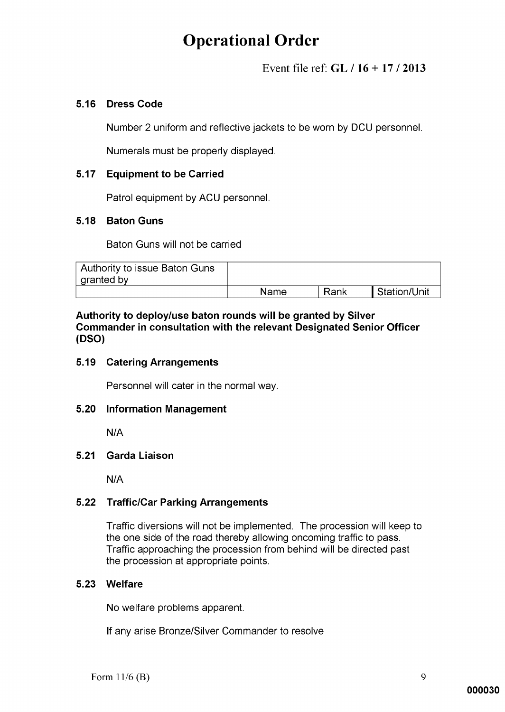Event file ref:  $GL / 16 + 17 / 2013$ 

### 5.16 Dress Code

Number 2 uniform and reflective jackets to be worn by DCU personnel.

Numerals must be properly displayed.

### 5.17 Equipment to be Carried

Patrol equipment by ACU personnel.

### 5.18 Baton Guns

Baton Guns will not be carried

| Authority to issue Baton Guns |      |      |              |
|-------------------------------|------|------|--------------|
| I granted by                  |      |      |              |
|                               | Name | Rank | Station/Unit |

Authority to deploy/use baton rounds will be granted by Silver Commander in consultation with the relevant Designated Senior Officer (DSO)

### 5.19 Catering Arrangements

Personnel will cater in the normal way.

### 5.20 Information Management

 $N/A$ 

#### $5.21$ **Garda Liaison**

 $N/A$ 

### 5.22 Traffic/Car Parking Arrangements

Traffic diversions will not be implemented. The procession will keep to the one side of the road thereby allowing oncoming traffic to pass. Traffic approaching the procession from behind will be directed past the procession at appropriate points.

### 5.23 Welfare

No welfare problems apparent.

If any arise Bronze/Silver Commander to resolve